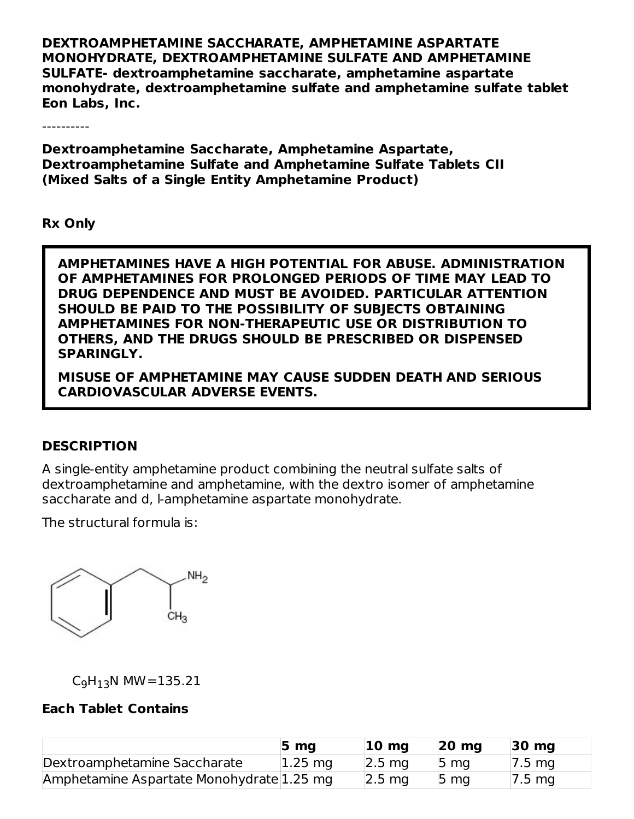**DEXTROAMPHETAMINE SACCHARATE, AMPHETAMINE ASPARTATE MONOHYDRATE, DEXTROAMPHETAMINE SULFATE AND AMPHETAMINE SULFATE- dextroamphetamine saccharate, amphetamine aspartate monohydrate, dextroamphetamine sulfate and amphetamine sulfate tablet Eon Labs, Inc.**

----------

**Dextroamphetamine Saccharate, Amphetamine Aspartate, Dextroamphetamine Sulfate and Amphetamine Sulfate Tablets CII (Mixed Salts of a Single Entity Amphetamine Product)**

**Rx Only**

**AMPHETAMINES HAVE A HIGH POTENTIAL FOR ABUSE. ADMINISTRATION OF AMPHETAMINES FOR PROLONGED PERIODS OF TIME MAY LEAD TO DRUG DEPENDENCE AND MUST BE AVOIDED. PARTICULAR ATTENTION SHOULD BE PAID TO THE POSSIBILITY OF SUBJECTS OBTAINING AMPHETAMINES FOR NON-THERAPEUTIC USE OR DISTRIBUTION TO OTHERS, AND THE DRUGS SHOULD BE PRESCRIBED OR DISPENSED SPARINGLY.**

**MISUSE OF AMPHETAMINE MAY CAUSE SUDDEN DEATH AND SERIOUS CARDIOVASCULAR ADVERSE EVENTS.**

#### **DESCRIPTION**

A single-entity amphetamine product combining the neutral sulfate salts of dextroamphetamine and amphetamine, with the dextro isomer of amphetamine saccharate and d, l-amphetamine aspartate monohydrate.

The structural formula is:



 $C_9H_1$ <sub>3</sub>N MW = 135.21

#### **Each Tablet Contains**

|                                           | $ 5 \text{ mg} $  | $ 10 \rangle$ mg   | $ 20 \text{ mg} $ | 30 mg             |
|-------------------------------------------|-------------------|--------------------|-------------------|-------------------|
| Dextroamphetamine Saccharate              | $1.25 \text{ mg}$ | $ 2.5 \text{ mg} $ | 5 <sub>mg</sub>   | $17.5 \text{ mg}$ |
| Amphetamine Aspartate Monohydrate 1.25 mg |                   | $ 2.5 \text{ ma} $ | 5 <sub>mg</sub>   | 7.5 mg            |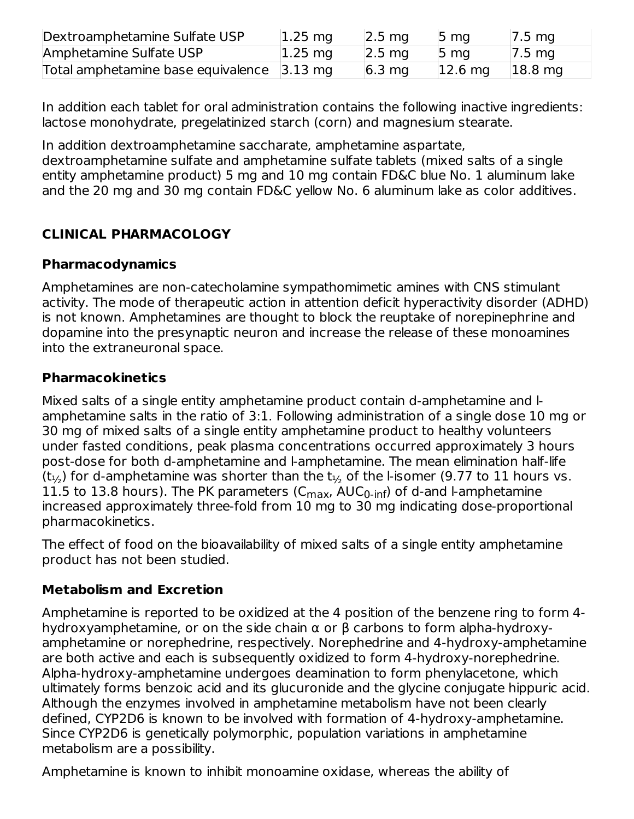| Dextroamphetamine Sulfate USP              | $ 1.25 \text{ mg} $ | $ 2.5 \text{ ma} $ | 5 <sub>ma</sub>     | $ 7.5 \text{ mg} $  |
|--------------------------------------------|---------------------|--------------------|---------------------|---------------------|
| Amphetamine Sulfate USP                    | $ 1.25 \text{ mg} $ | $ 2.5 \text{ ma} $ | 15 ma               | $ 7.5 \text{ mg} $  |
| Total amphetamine base equivalence 3.13 mg |                     | $ 6.3 \text{ ma} $ | $ 12.6 \text{ mg} $ | $ 18.8 \text{ mg} $ |

In addition each tablet for oral administration contains the following inactive ingredients: lactose monohydrate, pregelatinized starch (corn) and magnesium stearate.

In addition dextroamphetamine saccharate, amphetamine aspartate, dextroamphetamine sulfate and amphetamine sulfate tablets (mixed salts of a single entity amphetamine product) 5 mg and 10 mg contain FD&C blue No. 1 aluminum lake and the 20 mg and 30 mg contain FD&C yellow No. 6 aluminum lake as color additives.

## **CLINICAL PHARMACOLOGY**

### **Pharmacodynamics**

Amphetamines are non-catecholamine sympathomimetic amines with CNS stimulant activity. The mode of therapeutic action in attention deficit hyperactivity disorder (ADHD) is not known. Amphetamines are thought to block the reuptake of norepinephrine and dopamine into the presynaptic neuron and increase the release of these monoamines into the extraneuronal space.

## **Pharmacokinetics**

Mixed salts of a single entity amphetamine product contain d-amphetamine and lamphetamine salts in the ratio of 3:1. Following administration of a single dose 10 mg or 30 mg of mixed salts of a single entity amphetamine product to healthy volunteers under fasted conditions, peak plasma concentrations occurred approximately 3 hours post-dose for both d-amphetamine and l-amphetamine. The mean elimination half-life ( $t_{\frac{1}{2}}$ ) for d-amphetamine was shorter than the  $t_{\frac{1}{2}}$  of the l-isomer (9.77 to 11 hours vs. 11.5 to 13.8 hours). The PK parameters (C $_{\sf max}$ , AUC $_{\sf 0\text{-}inf}$ ) of d-and l-amphetamine increased approximately three-fold from 10 mg to 30 mg indicating dose-proportional pharmacokinetics.

The effect of food on the bioavailability of mixed salts of a single entity amphetamine product has not been studied.

## **Metabolism and Excretion**

Amphetamine is reported to be oxidized at the 4 position of the benzene ring to form 4 hydroxyamphetamine, or on the side chain α or β carbons to form alpha-hydroxyamphetamine or norephedrine, respectively. Norephedrine and 4-hydroxy-amphetamine are both active and each is subsequently oxidized to form 4-hydroxy-norephedrine. Alpha-hydroxy-amphetamine undergoes deamination to form phenylacetone, which ultimately forms benzoic acid and its glucuronide and the glycine conjugate hippuric acid. Although the enzymes involved in amphetamine metabolism have not been clearly defined, CYP2D6 is known to be involved with formation of 4-hydroxy-amphetamine. Since CYP2D6 is genetically polymorphic, population variations in amphetamine metabolism are a possibility.

Amphetamine is known to inhibit monoamine oxidase, whereas the ability of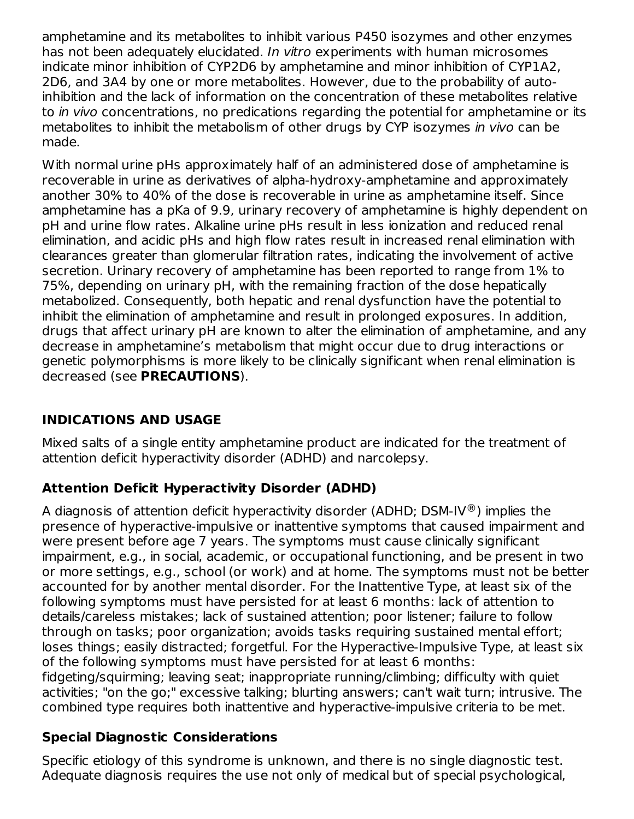amphetamine and its metabolites to inhibit various P450 isozymes and other enzymes has not been adequately elucidated. In vitro experiments with human microsomes indicate minor inhibition of CYP2D6 by amphetamine and minor inhibition of CYP1A2, 2D6, and 3A4 by one or more metabolites. However, due to the probability of autoinhibition and the lack of information on the concentration of these metabolites relative to *in vivo* concentrations, no predications regarding the potential for amphetamine or its metabolites to inhibit the metabolism of other drugs by CYP isozymes in vivo can be made.

With normal urine pHs approximately half of an administered dose of amphetamine is recoverable in urine as derivatives of alpha-hydroxy-amphetamine and approximately another 30% to 40% of the dose is recoverable in urine as amphetamine itself. Since amphetamine has a pKa of 9.9, urinary recovery of amphetamine is highly dependent on pH and urine flow rates. Alkaline urine pHs result in less ionization and reduced renal elimination, and acidic pHs and high flow rates result in increased renal elimination with clearances greater than glomerular filtration rates, indicating the involvement of active secretion. Urinary recovery of amphetamine has been reported to range from 1% to 75%, depending on urinary pH, with the remaining fraction of the dose hepatically metabolized. Consequently, both hepatic and renal dysfunction have the potential to inhibit the elimination of amphetamine and result in prolonged exposures. In addition, drugs that affect urinary pH are known to alter the elimination of amphetamine, and any decrease in amphetamine's metabolism that might occur due to drug interactions or genetic polymorphisms is more likely to be clinically significant when renal elimination is decreased (see **PRECAUTIONS**).

## **INDICATIONS AND USAGE**

Mixed salts of a single entity amphetamine product are indicated for the treatment of attention deficit hyperactivity disorder (ADHD) and narcolepsy.

## **Attention Deficit Hyperactivity Disorder (ADHD)**

A diagnosis of attention deficit hyperactivity disorder (ADHD; DSM-IV $^{\circledR}$ ) implies the presence of hyperactive-impulsive or inattentive symptoms that caused impairment and were present before age 7 years. The symptoms must cause clinically significant impairment, e.g., in social, academic, or occupational functioning, and be present in two or more settings, e.g., school (or work) and at home. The symptoms must not be better accounted for by another mental disorder. For the Inattentive Type, at least six of the following symptoms must have persisted for at least 6 months: lack of attention to details/careless mistakes; lack of sustained attention; poor listener; failure to follow through on tasks; poor organization; avoids tasks requiring sustained mental effort; loses things; easily distracted; forgetful. For the Hyperactive-Impulsive Type, at least six of the following symptoms must have persisted for at least 6 months: fidgeting/squirming; leaving seat; inappropriate running/climbing; difficulty with quiet activities; "on the go;" excessive talking; blurting answers; can't wait turn; intrusive. The combined type requires both inattentive and hyperactive-impulsive criteria to be met.

## **Special Diagnostic Considerations**

Specific etiology of this syndrome is unknown, and there is no single diagnostic test. Adequate diagnosis requires the use not only of medical but of special psychological,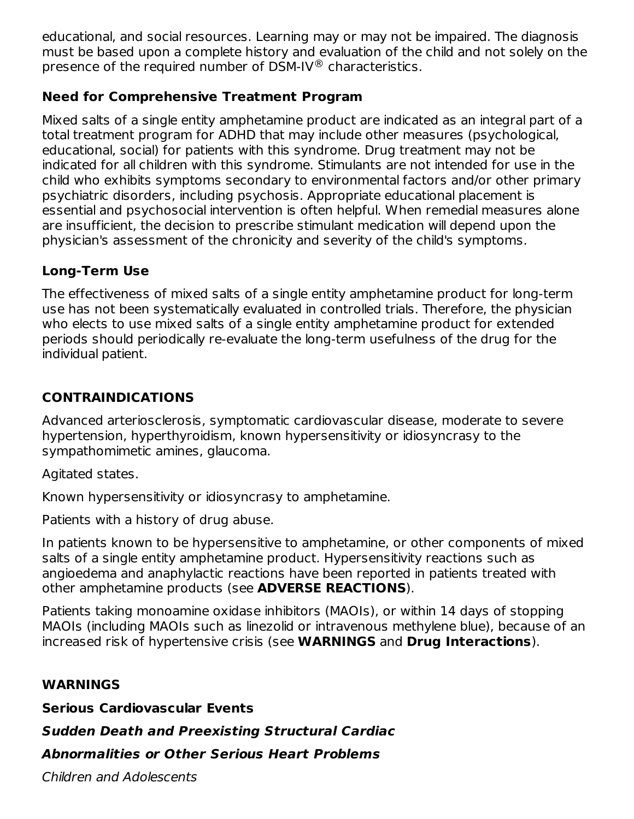educational, and social resources. Learning may or may not be impaired. The diagnosis must be based upon a complete history and evaluation of the child and not solely on the presence of the required number of DSM-IV $^{\circledR}$  characteristics.

#### **Need for Comprehensive Treatment Program**

Mixed salts of a single entity amphetamine product are indicated as an integral part of a total treatment program for ADHD that may include other measures (psychological, educational, social) for patients with this syndrome. Drug treatment may not be indicated for all children with this syndrome. Stimulants are not intended for use in the child who exhibits symptoms secondary to environmental factors and/or other primary psychiatric disorders, including psychosis. Appropriate educational placement is essential and psychosocial intervention is often helpful. When remedial measures alone are insufficient, the decision to prescribe stimulant medication will depend upon the physician's assessment of the chronicity and severity of the child's symptoms.

### **Long-Term Use**

The effectiveness of mixed salts of a single entity amphetamine product for long-term use has not been systematically evaluated in controlled trials. Therefore, the physician who elects to use mixed salts of a single entity amphetamine product for extended periods should periodically re-evaluate the long-term usefulness of the drug for the individual patient.

## **CONTRAINDICATIONS**

Advanced arteriosclerosis, symptomatic cardiovascular disease, moderate to severe hypertension, hyperthyroidism, known hypersensitivity or idiosyncrasy to the sympathomimetic amines, glaucoma.

Agitated states.

Known hypersensitivity or idiosyncrasy to amphetamine.

Patients with a history of drug abuse.

In patients known to be hypersensitive to amphetamine, or other components of mixed salts of a single entity amphetamine product. Hypersensitivity reactions such as angioedema and anaphylactic reactions have been reported in patients treated with other amphetamine products (see **ADVERSE REACTIONS**).

Patients taking monoamine oxidase inhibitors (MAOIs), or within 14 days of stopping MAOIs (including MAOIs such as linezolid or intravenous methylene blue), because of an increased risk of hypertensive crisis (see **WARNINGS** and **Drug Interactions**).

#### **WARNINGS**

**Serious Cardiovascular Events**

**Sudden Death and Preexisting Structural Cardiac**

**Abnormalities or Other Serious Heart Problems**

Children and Adolescents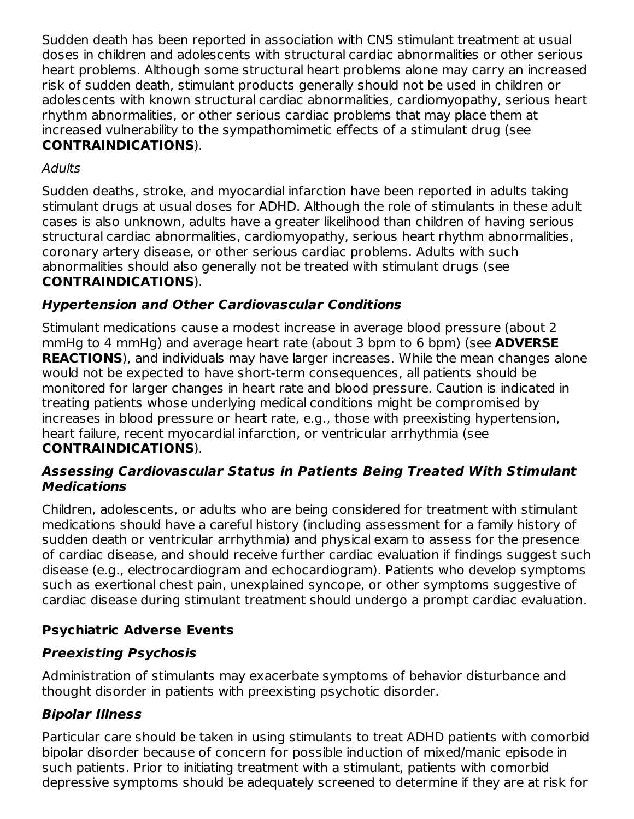Sudden death has been reported in association with CNS stimulant treatment at usual doses in children and adolescents with structural cardiac abnormalities or other serious heart problems. Although some structural heart problems alone may carry an increased risk of sudden death, stimulant products generally should not be used in children or adolescents with known structural cardiac abnormalities, cardiomyopathy, serious heart rhythm abnormalities, or other serious cardiac problems that may place them at increased vulnerability to the sympathomimetic effects of a stimulant drug (see **CONTRAINDICATIONS**).

## **Adults**

Sudden deaths, stroke, and myocardial infarction have been reported in adults taking stimulant drugs at usual doses for ADHD. Although the role of stimulants in these adult cases is also unknown, adults have a greater likelihood than children of having serious structural cardiac abnormalities, cardiomyopathy, serious heart rhythm abnormalities, coronary artery disease, or other serious cardiac problems. Adults with such abnormalities should also generally not be treated with stimulant drugs (see **CONTRAINDICATIONS**).

## **Hypertension and Other Cardiovascular Conditions**

Stimulant medications cause a modest increase in average blood pressure (about 2 mmHg to 4 mmHg) and average heart rate (about 3 bpm to 6 bpm) (see **ADVERSE REACTIONS**), and individuals may have larger increases. While the mean changes alone would not be expected to have short-term consequences, all patients should be monitored for larger changes in heart rate and blood pressure. Caution is indicated in treating patients whose underlying medical conditions might be compromised by increases in blood pressure or heart rate, e.g., those with preexisting hypertension, heart failure, recent myocardial infarction, or ventricular arrhythmia (see **CONTRAINDICATIONS**).

### **Assessing Cardiovascular Status in Patients Being Treated With Stimulant Medications**

Children, adolescents, or adults who are being considered for treatment with stimulant medications should have a careful history (including assessment for a family history of sudden death or ventricular arrhythmia) and physical exam to assess for the presence of cardiac disease, and should receive further cardiac evaluation if findings suggest such disease (e.g., electrocardiogram and echocardiogram). Patients who develop symptoms such as exertional chest pain, unexplained syncope, or other symptoms suggestive of cardiac disease during stimulant treatment should undergo a prompt cardiac evaluation.

# **Psychiatric Adverse Events**

# **Preexisting Psychosis**

Administration of stimulants may exacerbate symptoms of behavior disturbance and thought disorder in patients with preexisting psychotic disorder.

## **Bipolar Illness**

Particular care should be taken in using stimulants to treat ADHD patients with comorbid bipolar disorder because of concern for possible induction of mixed/manic episode in such patients. Prior to initiating treatment with a stimulant, patients with comorbid depressive symptoms should be adequately screened to determine if they are at risk for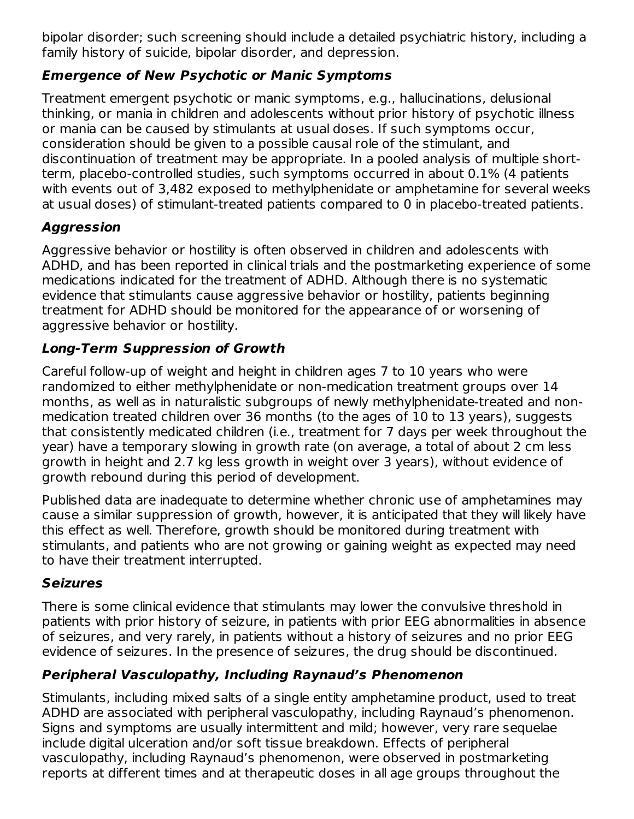bipolar disorder; such screening should include a detailed psychiatric history, including a family history of suicide, bipolar disorder, and depression.

## **Emergence of New Psychotic or Manic Symptoms**

Treatment emergent psychotic or manic symptoms, e.g., hallucinations, delusional thinking, or mania in children and adolescents without prior history of psychotic illness or mania can be caused by stimulants at usual doses. If such symptoms occur, consideration should be given to a possible causal role of the stimulant, and discontinuation of treatment may be appropriate. In a pooled analysis of multiple shortterm, placebo-controlled studies, such symptoms occurred in about 0.1% (4 patients with events out of 3,482 exposed to methylphenidate or amphetamine for several weeks at usual doses) of stimulant-treated patients compared to 0 in placebo-treated patients.

### **Aggression**

Aggressive behavior or hostility is often observed in children and adolescents with ADHD, and has been reported in clinical trials and the postmarketing experience of some medications indicated for the treatment of ADHD. Although there is no systematic evidence that stimulants cause aggressive behavior or hostility, patients beginning treatment for ADHD should be monitored for the appearance of or worsening of aggressive behavior or hostility.

### **Long-Term Suppression of Growth**

Careful follow-up of weight and height in children ages 7 to 10 years who were randomized to either methylphenidate or non-medication treatment groups over 14 months, as well as in naturalistic subgroups of newly methylphenidate-treated and nonmedication treated children over 36 months (to the ages of 10 to 13 years), suggests that consistently medicated children (i.e., treatment for 7 days per week throughout the year) have a temporary slowing in growth rate (on average, a total of about 2 cm less growth in height and 2.7 kg less growth in weight over 3 years), without evidence of growth rebound during this period of development.

Published data are inadequate to determine whether chronic use of amphetamines may cause a similar suppression of growth, however, it is anticipated that they will likely have this effect as well. Therefore, growth should be monitored during treatment with stimulants, and patients who are not growing or gaining weight as expected may need to have their treatment interrupted.

### **Seizures**

There is some clinical evidence that stimulants may lower the convulsive threshold in patients with prior history of seizure, in patients with prior EEG abnormalities in absence of seizures, and very rarely, in patients without a history of seizures and no prior EEG evidence of seizures. In the presence of seizures, the drug should be discontinued.

### **Peripheral Vasculopathy, Including Raynaud's Phenomenon**

Stimulants, including mixed salts of a single entity amphetamine product, used to treat ADHD are associated with peripheral vasculopathy, including Raynaud's phenomenon. Signs and symptoms are usually intermittent and mild; however, very rare sequelae include digital ulceration and/or soft tissue breakdown. Effects of peripheral vasculopathy, including Raynaud's phenomenon, were observed in postmarketing reports at different times and at therapeutic doses in all age groups throughout the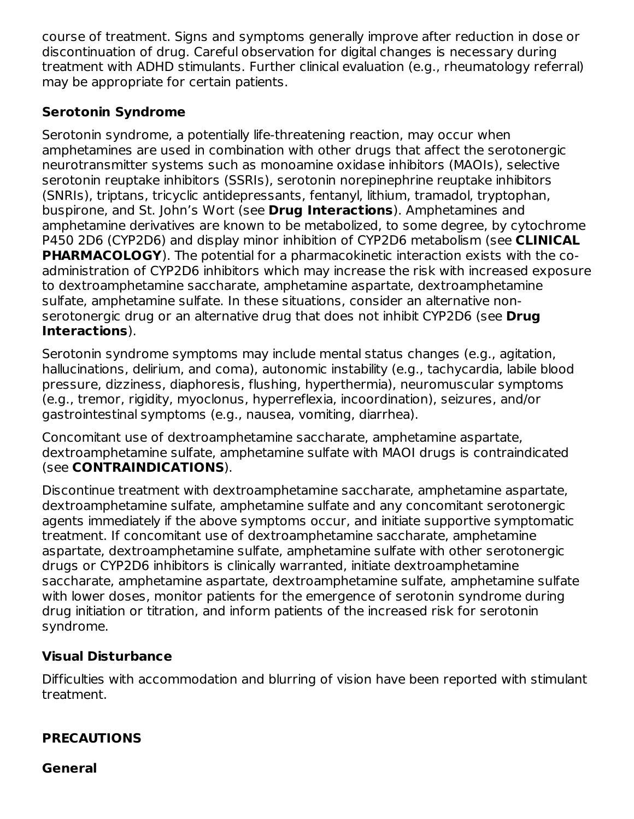course of treatment. Signs and symptoms generally improve after reduction in dose or discontinuation of drug. Careful observation for digital changes is necessary during treatment with ADHD stimulants. Further clinical evaluation (e.g., rheumatology referral) may be appropriate for certain patients.

#### **Serotonin Syndrome**

Serotonin syndrome, a potentially life-threatening reaction, may occur when amphetamines are used in combination with other drugs that affect the serotonergic neurotransmitter systems such as monoamine oxidase inhibitors (MAOIs), selective serotonin reuptake inhibitors (SSRIs), serotonin norepinephrine reuptake inhibitors (SNRIs), triptans, tricyclic antidepressants, fentanyl, lithium, tramadol, tryptophan, buspirone, and St. John's Wort (see **Drug Interactions**). Amphetamines and amphetamine derivatives are known to be metabolized, to some degree, by cytochrome P450 2D6 (CYP2D6) and display minor inhibition of CYP2D6 metabolism (see **CLINICAL PHARMACOLOGY**). The potential for a pharmacokinetic interaction exists with the coadministration of CYP2D6 inhibitors which may increase the risk with increased exposure to dextroamphetamine saccharate, amphetamine aspartate, dextroamphetamine sulfate, amphetamine sulfate. In these situations, consider an alternative nonserotonergic drug or an alternative drug that does not inhibit CYP2D6 (see **Drug Interactions**).

Serotonin syndrome symptoms may include mental status changes (e.g., agitation, hallucinations, delirium, and coma), autonomic instability (e.g., tachycardia, labile blood pressure, dizziness, diaphoresis, flushing, hyperthermia), neuromuscular symptoms (e.g., tremor, rigidity, myoclonus, hyperreflexia, incoordination), seizures, and/or gastrointestinal symptoms (e.g., nausea, vomiting, diarrhea).

Concomitant use of dextroamphetamine saccharate, amphetamine aspartate, dextroamphetamine sulfate, amphetamine sulfate with MAOI drugs is contraindicated (see **CONTRAINDICATIONS**).

Discontinue treatment with dextroamphetamine saccharate, amphetamine aspartate, dextroamphetamine sulfate, amphetamine sulfate and any concomitant serotonergic agents immediately if the above symptoms occur, and initiate supportive symptomatic treatment. If concomitant use of dextroamphetamine saccharate, amphetamine aspartate, dextroamphetamine sulfate, amphetamine sulfate with other serotonergic drugs or CYP2D6 inhibitors is clinically warranted, initiate dextroamphetamine saccharate, amphetamine aspartate, dextroamphetamine sulfate, amphetamine sulfate with lower doses, monitor patients for the emergence of serotonin syndrome during drug initiation or titration, and inform patients of the increased risk for serotonin syndrome.

### **Visual Disturbance**

Difficulties with accommodation and blurring of vision have been reported with stimulant treatment.

### **PRECAUTIONS**

**General**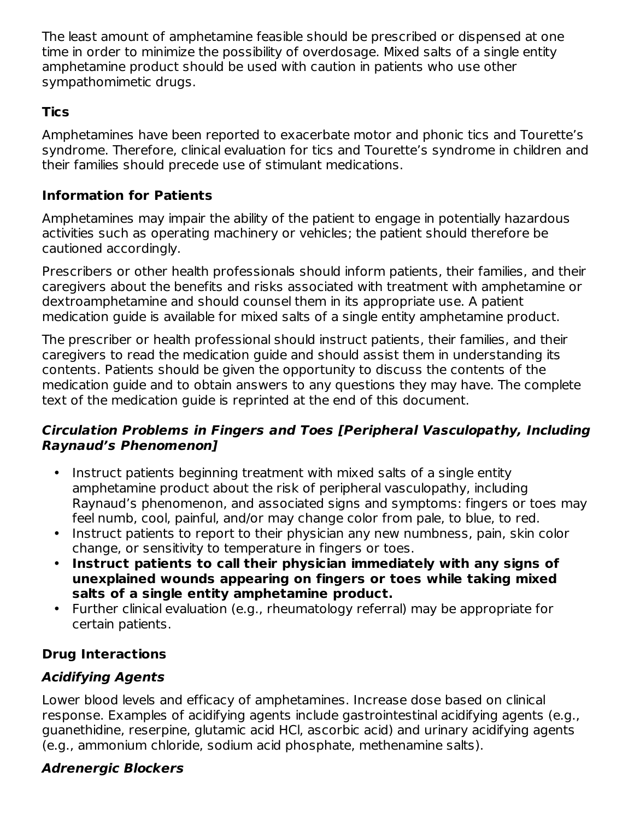The least amount of amphetamine feasible should be prescribed or dispensed at one time in order to minimize the possibility of overdosage. Mixed salts of a single entity amphetamine product should be used with caution in patients who use other sympathomimetic drugs.

## **Tics**

Amphetamines have been reported to exacerbate motor and phonic tics and Tourette's syndrome. Therefore, clinical evaluation for tics and Tourette's syndrome in children and their families should precede use of stimulant medications.

#### **Information for Patients**

Amphetamines may impair the ability of the patient to engage in potentially hazardous activities such as operating machinery or vehicles; the patient should therefore be cautioned accordingly.

Prescribers or other health professionals should inform patients, their families, and their caregivers about the benefits and risks associated with treatment with amphetamine or dextroamphetamine and should counsel them in its appropriate use. A patient medication guide is available for mixed salts of a single entity amphetamine product.

The prescriber or health professional should instruct patients, their families, and their caregivers to read the medication guide and should assist them in understanding its contents. Patients should be given the opportunity to discuss the contents of the medication guide and to obtain answers to any questions they may have. The complete text of the medication guide is reprinted at the end of this document.

#### **Circulation Problems in Fingers and Toes [Peripheral Vasculopathy, Including Raynaud's Phenomenon]**

- Instruct patients beginning treatment with mixed salts of a single entity amphetamine product about the risk of peripheral vasculopathy, including Raynaud's phenomenon, and associated signs and symptoms: fingers or toes may feel numb, cool, painful, and/or may change color from pale, to blue, to red.
- Instruct patients to report to their physician any new numbness, pain, skin color change, or sensitivity to temperature in fingers or toes.
- **Instruct patients to call their physician immediately with any signs of unexplained wounds appearing on fingers or toes while taking mixed salts of a single entity amphetamine product.**
- Further clinical evaluation (e.g., rheumatology referral) may be appropriate for certain patients.

### **Drug Interactions**

## **Acidifying Agents**

Lower blood levels and efficacy of amphetamines. Increase dose based on clinical response. Examples of acidifying agents include gastrointestinal acidifying agents (e.g., guanethidine, reserpine, glutamic acid HCl, ascorbic acid) and urinary acidifying agents (e.g., ammonium chloride, sodium acid phosphate, methenamine salts).

## **Adrenergic Blockers**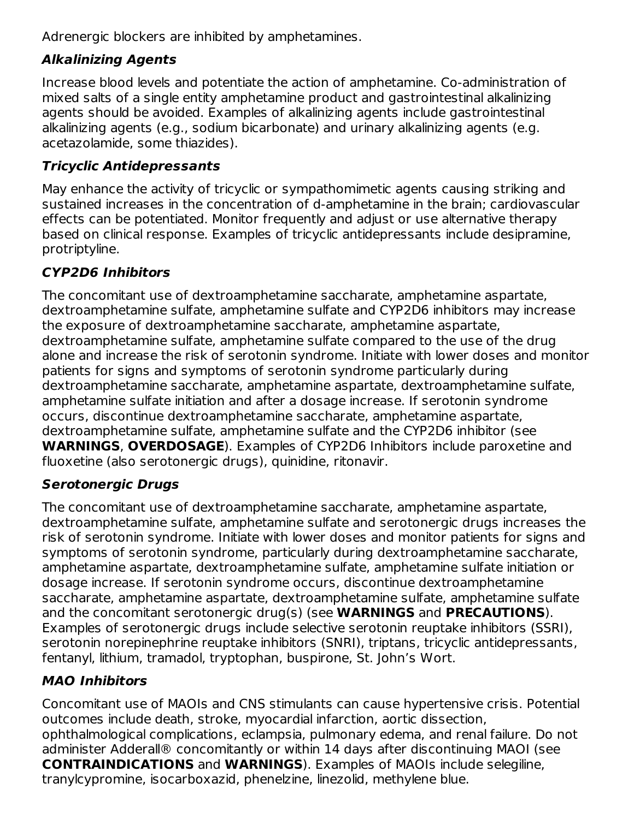Adrenergic blockers are inhibited by amphetamines.

## **Alkalinizing Agents**

Increase blood levels and potentiate the action of amphetamine. Co-administration of mixed salts of a single entity amphetamine product and gastrointestinal alkalinizing agents should be avoided. Examples of alkalinizing agents include gastrointestinal alkalinizing agents (e.g., sodium bicarbonate) and urinary alkalinizing agents (e.g. acetazolamide, some thiazides).

## **Tricyclic Antidepressants**

May enhance the activity of tricyclic or sympathomimetic agents causing striking and sustained increases in the concentration of d-amphetamine in the brain; cardiovascular effects can be potentiated. Monitor frequently and adjust or use alternative therapy based on clinical response. Examples of tricyclic antidepressants include desipramine, protriptyline.

## **CYP2D6 Inhibitors**

The concomitant use of dextroamphetamine saccharate, amphetamine aspartate, dextroamphetamine sulfate, amphetamine sulfate and CYP2D6 inhibitors may increase the exposure of dextroamphetamine saccharate, amphetamine aspartate, dextroamphetamine sulfate, amphetamine sulfate compared to the use of the drug alone and increase the risk of serotonin syndrome. Initiate with lower doses and monitor patients for signs and symptoms of serotonin syndrome particularly during dextroamphetamine saccharate, amphetamine aspartate, dextroamphetamine sulfate, amphetamine sulfate initiation and after a dosage increase. If serotonin syndrome occurs, discontinue dextroamphetamine saccharate, amphetamine aspartate, dextroamphetamine sulfate, amphetamine sulfate and the CYP2D6 inhibitor (see **WARNINGS**, **OVERDOSAGE**). Examples of CYP2D6 Inhibitors include paroxetine and fluoxetine (also serotonergic drugs), quinidine, ritonavir.

## **Serotonergic Drugs**

The concomitant use of dextroamphetamine saccharate, amphetamine aspartate, dextroamphetamine sulfate, amphetamine sulfate and serotonergic drugs increases the risk of serotonin syndrome. Initiate with lower doses and monitor patients for signs and symptoms of serotonin syndrome, particularly during dextroamphetamine saccharate, amphetamine aspartate, dextroamphetamine sulfate, amphetamine sulfate initiation or dosage increase. If serotonin syndrome occurs, discontinue dextroamphetamine saccharate, amphetamine aspartate, dextroamphetamine sulfate, amphetamine sulfate and the concomitant serotonergic drug(s) (see **WARNINGS** and **PRECAUTIONS**). Examples of serotonergic drugs include selective serotonin reuptake inhibitors (SSRI), serotonin norepinephrine reuptake inhibitors (SNRI), triptans, tricyclic antidepressants, fentanyl, lithium, tramadol, tryptophan, buspirone, St. John's Wort.

# **MAO Inhibitors**

Concomitant use of MAOIs and CNS stimulants can cause hypertensive crisis. Potential outcomes include death, stroke, myocardial infarction, aortic dissection, ophthalmological complications, eclampsia, pulmonary edema, and renal failure. Do not administer Adderall® concomitantly or within 14 days after discontinuing MAOI (see **CONTRAINDICATIONS** and **WARNINGS**). Examples of MAOIs include selegiline, tranylcypromine, isocarboxazid, phenelzine, linezolid, methylene blue.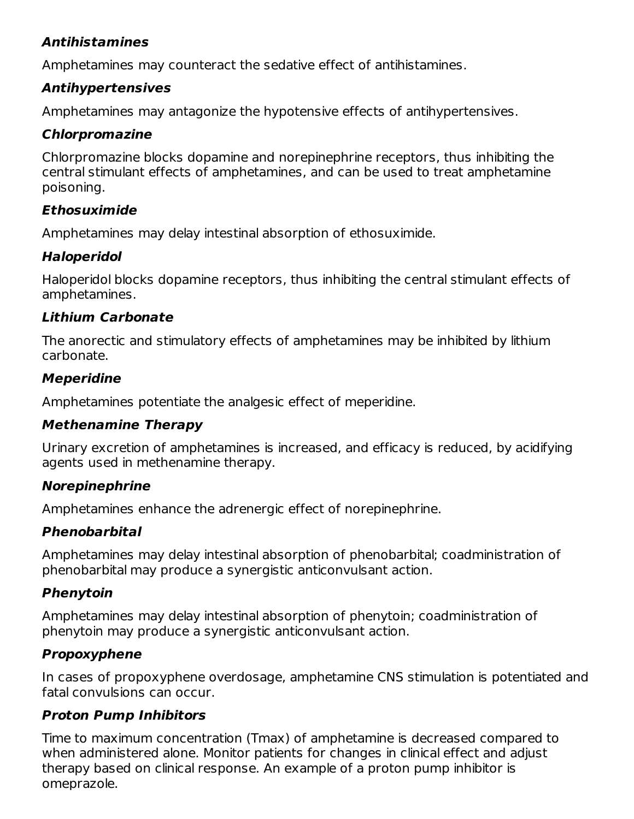### **Antihistamines**

Amphetamines may counteract the sedative effect of antihistamines.

## **Antihypertensives**

Amphetamines may antagonize the hypotensive effects of antihypertensives.

## **Chlorpromazine**

Chlorpromazine blocks dopamine and norepinephrine receptors, thus inhibiting the central stimulant effects of amphetamines, and can be used to treat amphetamine poisoning.

# **Ethosuximide**

Amphetamines may delay intestinal absorption of ethosuximide.

# **Haloperidol**

Haloperidol blocks dopamine receptors, thus inhibiting the central stimulant effects of amphetamines.

# **Lithium Carbonate**

The anorectic and stimulatory effects of amphetamines may be inhibited by lithium carbonate.

# **Meperidine**

Amphetamines potentiate the analgesic effect of meperidine.

# **Methenamine Therapy**

Urinary excretion of amphetamines is increased, and efficacy is reduced, by acidifying agents used in methenamine therapy.

# **Norepinephrine**

Amphetamines enhance the adrenergic effect of norepinephrine.

# **Phenobarbital**

Amphetamines may delay intestinal absorption of phenobarbital; coadministration of phenobarbital may produce a synergistic anticonvulsant action.

# **Phenytoin**

Amphetamines may delay intestinal absorption of phenytoin; coadministration of phenytoin may produce a synergistic anticonvulsant action.

# **Propoxyphene**

In cases of propoxyphene overdosage, amphetamine CNS stimulation is potentiated and fatal convulsions can occur.

# **Proton Pump Inhibitors**

Time to maximum concentration (Tmax) of amphetamine is decreased compared to when administered alone. Monitor patients for changes in clinical effect and adjust therapy based on clinical response. An example of a proton pump inhibitor is omeprazole.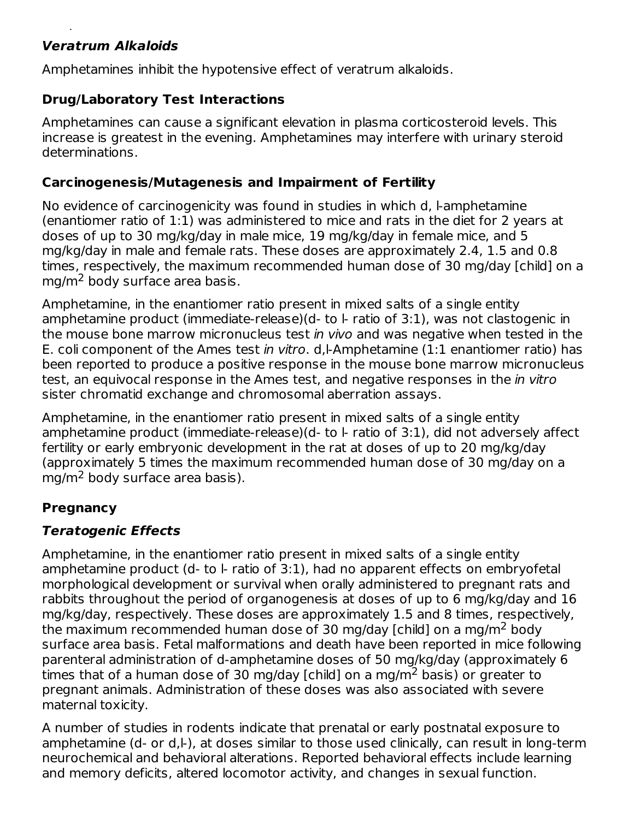### **Veratrum Alkaloids**

omeprazole.

Amphetamines inhibit the hypotensive effect of veratrum alkaloids.

## **Drug/Laboratory Test Interactions**

Amphetamines can cause a significant elevation in plasma corticosteroid levels. This increase is greatest in the evening. Amphetamines may interfere with urinary steroid determinations.

## **Carcinogenesis/Mutagenesis and Impairment of Fertility**

No evidence of carcinogenicity was found in studies in which d, l-amphetamine (enantiomer ratio of 1:1) was administered to mice and rats in the diet for 2 years at doses of up to 30 mg/kg/day in male mice, 19 mg/kg/day in female mice, and 5 mg/kg/day in male and female rats. These doses are approximately 2.4, 1.5 and 0.8 times, respectively, the maximum recommended human dose of 30 mg/day [child] on a mg/m<sup>2</sup> body surface area basis.

Amphetamine, in the enantiomer ratio present in mixed salts of a single entity amphetamine product (immediate-release)(d- to l- ratio of 3:1), was not clastogenic in the mouse bone marrow micronucleus test in vivo and was negative when tested in the E. coli component of the Ames test in vitro. d,l-Amphetamine (1:1 enantiomer ratio) has been reported to produce a positive response in the mouse bone marrow micronucleus test, an equivocal response in the Ames test, and negative responses in the in vitro sister chromatid exchange and chromosomal aberration assays.

Amphetamine, in the enantiomer ratio present in mixed salts of a single entity amphetamine product (immediate-release)(d- to l- ratio of 3:1), did not adversely affect fertility or early embryonic development in the rat at doses of up to 20 mg/kg/day (approximately 5 times the maximum recommended human dose of 30 mg/day on a mg/m<sup>2</sup> body surface area basis).

## **Pregnancy**

## **Teratogenic Effects**

Amphetamine, in the enantiomer ratio present in mixed salts of a single entity amphetamine product (d- to l- ratio of 3:1), had no apparent effects on embryofetal morphological development or survival when orally administered to pregnant rats and rabbits throughout the period of organogenesis at doses of up to 6 mg/kg/day and 16 mg/kg/day, respectively. These doses are approximately 1.5 and 8 times, respectively, the maximum recommended human dose of 30 mg/day [child] on a mg/m $^2$  body surface area basis. Fetal malformations and death have been reported in mice following parenteral administration of d-amphetamine doses of 50 mg/kg/day (approximately 6 times that of a human dose of 30 mg/day [child] on a mg/m $^2$  basis) or greater to pregnant animals. Administration of these doses was also associated with severe maternal toxicity.

A number of studies in rodents indicate that prenatal or early postnatal exposure to amphetamine (d- or d, I-), at doses similar to those used clinically, can result in long-term neurochemical and behavioral alterations. Reported behavioral effects include learning and memory deficits, altered locomotor activity, and changes in sexual function.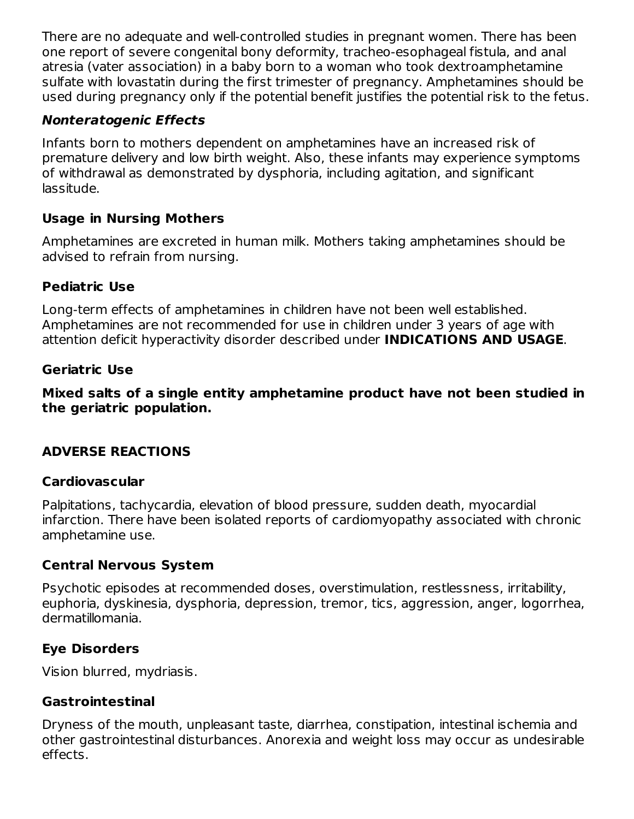There are no adequate and well-controlled studies in pregnant women. There has been one report of severe congenital bony deformity, tracheo-esophageal fistula, and anal atresia (vater association) in a baby born to a woman who took dextroamphetamine sulfate with lovastatin during the first trimester of pregnancy. Amphetamines should be used during pregnancy only if the potential benefit justifies the potential risk to the fetus.

#### **Nonteratogenic Effects**

Infants born to mothers dependent on amphetamines have an increased risk of premature delivery and low birth weight. Also, these infants may experience symptoms of withdrawal as demonstrated by dysphoria, including agitation, and significant lassitude.

### **Usage in Nursing Mothers**

Amphetamines are excreted in human milk. Mothers taking amphetamines should be advised to refrain from nursing.

### **Pediatric Use**

Long-term effects of amphetamines in children have not been well established. Amphetamines are not recommended for use in children under 3 years of age with attention deficit hyperactivity disorder described under **INDICATIONS AND USAGE**.

#### **Geriatric Use**

**Mixed salts of a single entity amphetamine product have not been studied in the geriatric population.**

### **ADVERSE REACTIONS**

#### **Cardiovascular**

Palpitations, tachycardia, elevation of blood pressure, sudden death, myocardial infarction. There have been isolated reports of cardiomyopathy associated with chronic amphetamine use.

#### **Central Nervous System**

Psychotic episodes at recommended doses, overstimulation, restlessness, irritability, euphoria, dyskinesia, dysphoria, depression, tremor, tics, aggression, anger, logorrhea, dermatillomania.

#### **Eye Disorders**

Vision blurred, mydriasis.

#### **Gastrointestinal**

Dryness of the mouth, unpleasant taste, diarrhea, constipation, intestinal ischemia and other gastrointestinal disturbances. Anorexia and weight loss may occur as undesirable effects.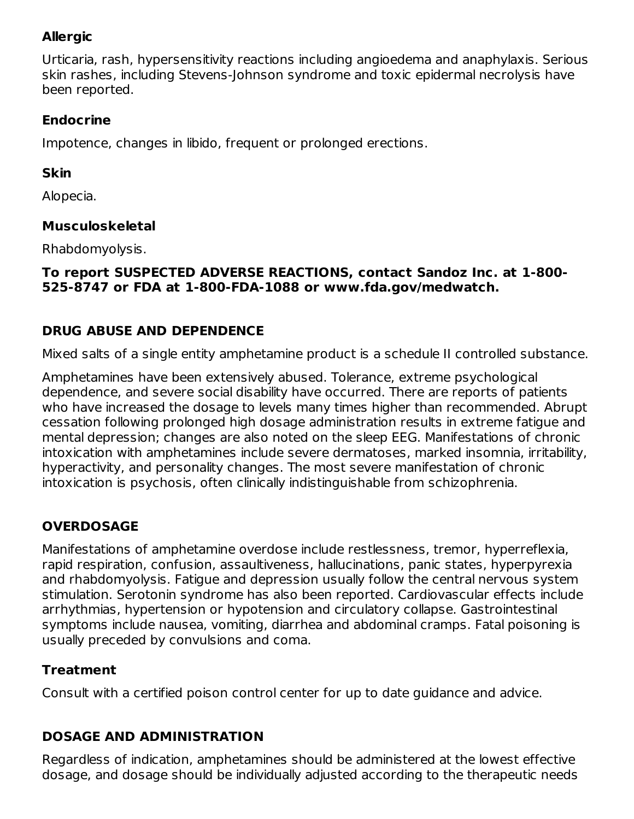### **Allergic**

Urticaria, rash, hypersensitivity reactions including angioedema and anaphylaxis. Serious skin rashes, including Stevens-Johnson syndrome and toxic epidermal necrolysis have been reported.

### **Endocrine**

Impotence, changes in libido, frequent or prolonged erections.

## **Skin**

Alopecia.

## **Musculoskeletal**

Rhabdomyolysis.

#### **To report SUSPECTED ADVERSE REACTIONS, contact Sandoz Inc. at 1-800- 525-8747 or FDA at 1-800-FDA-1088 or www.fda.gov/medwatch.**

# **DRUG ABUSE AND DEPENDENCE**

Mixed salts of a single entity amphetamine product is a schedule II controlled substance.

Amphetamines have been extensively abused. Tolerance, extreme psychological dependence, and severe social disability have occurred. There are reports of patients who have increased the dosage to levels many times higher than recommended. Abrupt cessation following prolonged high dosage administration results in extreme fatigue and mental depression; changes are also noted on the sleep EEG. Manifestations of chronic intoxication with amphetamines include severe dermatoses, marked insomnia, irritability, hyperactivity, and personality changes. The most severe manifestation of chronic intoxication is psychosis, often clinically indistinguishable from schizophrenia.

# **OVERDOSAGE**

Manifestations of amphetamine overdose include restlessness, tremor, hyperreflexia, rapid respiration, confusion, assaultiveness, hallucinations, panic states, hyperpyrexia and rhabdomyolysis. Fatigue and depression usually follow the central nervous system stimulation. Serotonin syndrome has also been reported. Cardiovascular effects include arrhythmias, hypertension or hypotension and circulatory collapse. Gastrointestinal symptoms include nausea, vomiting, diarrhea and abdominal cramps. Fatal poisoning is usually preceded by convulsions and coma.

## **Treatment**

Consult with a certified poison control center for up to date guidance and advice.

# **DOSAGE AND ADMINISTRATION**

Regardless of indication, amphetamines should be administered at the lowest effective dosage, and dosage should be individually adjusted according to the therapeutic needs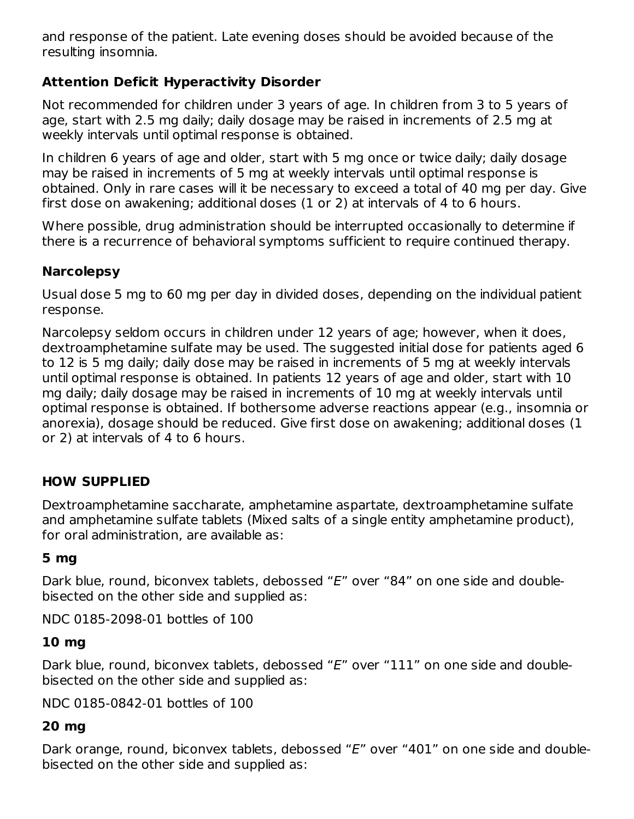and response of the patient. Late evening doses should be avoided because of the resulting insomnia.

## **Attention Deficit Hyperactivity Disorder**

Not recommended for children under 3 years of age. In children from 3 to 5 years of age, start with 2.5 mg daily; daily dosage may be raised in increments of 2.5 mg at weekly intervals until optimal response is obtained.

In children 6 years of age and older, start with 5 mg once or twice daily; daily dosage may be raised in increments of 5 mg at weekly intervals until optimal response is obtained. Only in rare cases will it be necessary to exceed a total of 40 mg per day. Give first dose on awakening; additional doses (1 or 2) at intervals of 4 to 6 hours.

Where possible, drug administration should be interrupted occasionally to determine if there is a recurrence of behavioral symptoms sufficient to require continued therapy.

## **Narcolepsy**

Usual dose 5 mg to 60 mg per day in divided doses, depending on the individual patient response.

Narcolepsy seldom occurs in children under 12 years of age; however, when it does, dextroamphetamine sulfate may be used. The suggested initial dose for patients aged 6 to 12 is 5 mg daily; daily dose may be raised in increments of 5 mg at weekly intervals until optimal response is obtained. In patients 12 years of age and older, start with 10 mg daily; daily dosage may be raised in increments of 10 mg at weekly intervals until optimal response is obtained. If bothersome adverse reactions appear (e.g., insomnia or anorexia), dosage should be reduced. Give first dose on awakening; additional doses (1 or 2) at intervals of 4 to 6 hours.

## **HOW SUPPLIED**

Dextroamphetamine saccharate, amphetamine aspartate, dextroamphetamine sulfate and amphetamine sulfate tablets (Mixed salts of a single entity amphetamine product), for oral administration, are available as:

### **5 mg**

Dark blue, round, biconvex tablets, debossed "E" over "84" on one side and doublebisected on the other side and supplied as:

NDC 0185-2098-01 bottles of 100

## **10 mg**

Dark blue, round, biconvex tablets, debossed "E" over "111" on one side and doublebisected on the other side and supplied as:

NDC 0185-0842-01 bottles of 100

### **20 mg**

Dark orange, round, biconvex tablets, debossed "E" over "401" on one side and doublebisected on the other side and supplied as: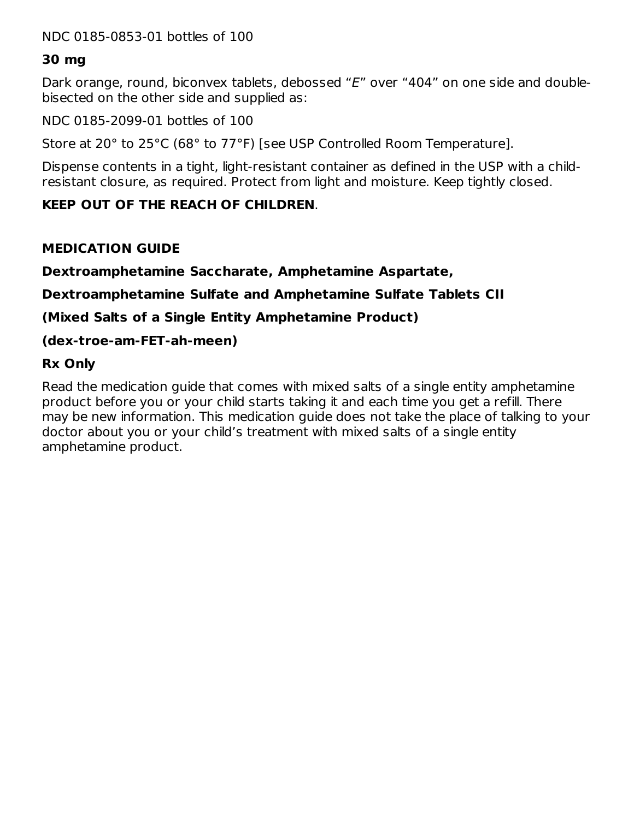#### NDC 0185-0853-01 bottles of 100

#### **30 mg**

Dark orange, round, biconvex tablets, debossed "E" over "404" on one side and doublebisected on the other side and supplied as:

NDC 0185-2099-01 bottles of 100

Store at 20° to 25°C (68° to 77°F) [see USP Controlled Room Temperature].

Dispense contents in a tight, light-resistant container as defined in the USP with a childresistant closure, as required. Protect from light and moisture. Keep tightly closed.

#### **KEEP OUT OF THE REACH OF CHILDREN**.

#### **MEDICATION GUIDE**

**Dextroamphetamine Saccharate, Amphetamine Aspartate,**

**Dextroamphetamine Sulfate and Amphetamine Sulfate Tablets CII**

**(Mixed Salts of a Single Entity Amphetamine Product)**

#### **(dex-troe-am-FET-ah-meen)**

#### **Rx Only**

Read the medication guide that comes with mixed salts of a single entity amphetamine product before you or your child starts taking it and each time you get a refill. There may be new information. This medication guide does not take the place of talking to your doctor about you or your child's treatment with mixed salts of a single entity amphetamine product.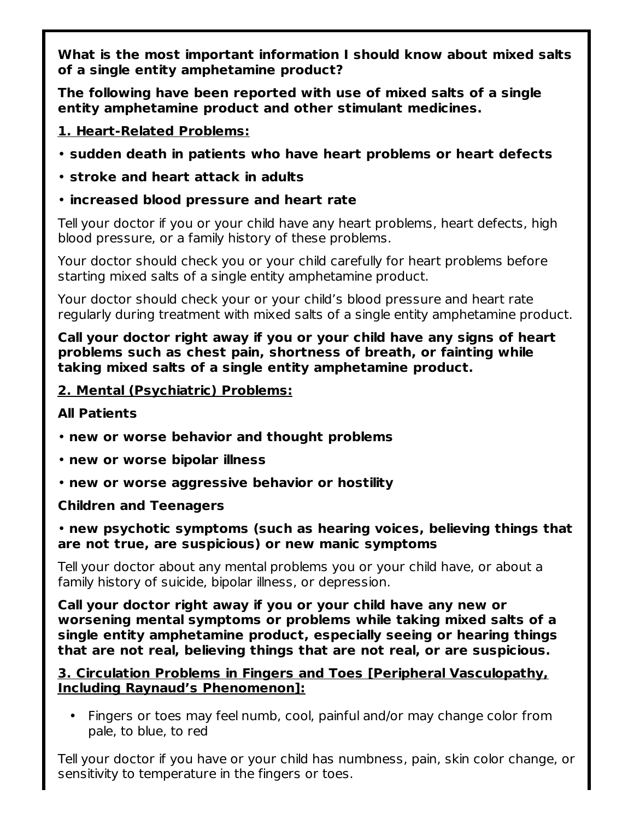**What is the most important information I should know about mixed salts of a single entity amphetamine product?**

**The following have been reported with use of mixed salts of a single entity amphetamine product and other stimulant medicines.**

- **1. Heart-Related Problems:**
- **sudden death in patients who have heart problems or heart defects**
- **stroke and heart attack in adults**

### • **increased blood pressure and heart rate**

Tell your doctor if you or your child have any heart problems, heart defects, high blood pressure, or a family history of these problems.

Your doctor should check you or your child carefully for heart problems before starting mixed salts of a single entity amphetamine product.

Your doctor should check your or your child's blood pressure and heart rate regularly during treatment with mixed salts of a single entity amphetamine product.

**Call your doctor right away if you or your child have any signs of heart problems such as chest pain, shortness of breath, or fainting while taking mixed salts of a single entity amphetamine product.**

**2. Mental (Psychiatric) Problems:**

### **All Patients**

- **new or worse behavior and thought problems**
- **new or worse bipolar illness**
- **new or worse aggressive behavior or hostility**

### **Children and Teenagers**

• **new psychotic symptoms (such as hearing voices, believing things that are not true, are suspicious) or new manic symptoms**

Tell your doctor about any mental problems you or your child have, or about a family history of suicide, bipolar illness, or depression.

**Call your doctor right away if you or your child have any new or worsening mental symptoms or problems while taking mixed salts of a single entity amphetamine product, especially seeing or hearing things that are not real, believing things that are not real, or are suspicious.**

#### **3. Circulation Problems in Fingers and Toes [Peripheral Vasculopathy, Including Raynaud's Phenomenon]:**

• Fingers or toes may feel numb, cool, painful and/or may change color from pale, to blue, to red

Tell your doctor if you have or your child has numbness, pain, skin color change, or sensitivity to temperature in the fingers or toes.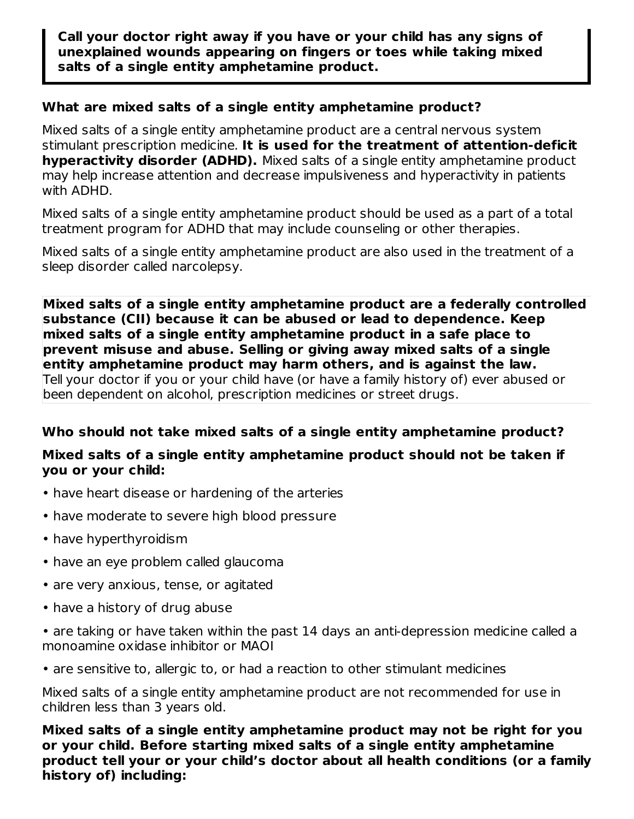**Call your doctor right away if you have or your child has any signs of unexplained wounds appearing on fingers or toes while taking mixed salts of a single entity amphetamine product.**

#### **What are mixed salts of a single entity amphetamine product?**

Mixed salts of a single entity amphetamine product are a central nervous system stimulant prescription medicine. **It is used for the treatment of attention-deficit hyperactivity disorder (ADHD).** Mixed salts of a single entity amphetamine product may help increase attention and decrease impulsiveness and hyperactivity in patients with ADHD.

Mixed salts of a single entity amphetamine product should be used as a part of a total treatment program for ADHD that may include counseling or other therapies.

Mixed salts of a single entity amphetamine product are also used in the treatment of a sleep disorder called narcolepsy.

**Mixed salts of a single entity amphetamine product are a federally controlled substance (CII) because it can be abused or lead to dependence. Keep mixed salts of a single entity amphetamine product in a safe place to prevent misuse and abuse. Selling or giving away mixed salts of a single entity amphetamine product may harm others, and is against the law.** Tell your doctor if you or your child have (or have a family history of) ever abused or been dependent on alcohol, prescription medicines or street drugs.

### **Who should not take mixed salts of a single entity amphetamine product?**

#### **Mixed salts of a single entity amphetamine product should not be taken if you or your child:**

- have heart disease or hardening of the arteries
- have moderate to severe high blood pressure
- have hyperthyroidism
- have an eye problem called glaucoma
- are very anxious, tense, or agitated
- have a history of drug abuse

• are taking or have taken within the past 14 days an anti-depression medicine called a monoamine oxidase inhibitor or MAOI

• are sensitive to, allergic to, or had a reaction to other stimulant medicines

Mixed salts of a single entity amphetamine product are not recommended for use in children less than 3 years old.

**Mixed salts of a single entity amphetamine product may not be right for you or your child. Before starting mixed salts of a single entity amphetamine product tell your or your child's doctor about all health conditions (or a family history of) including:**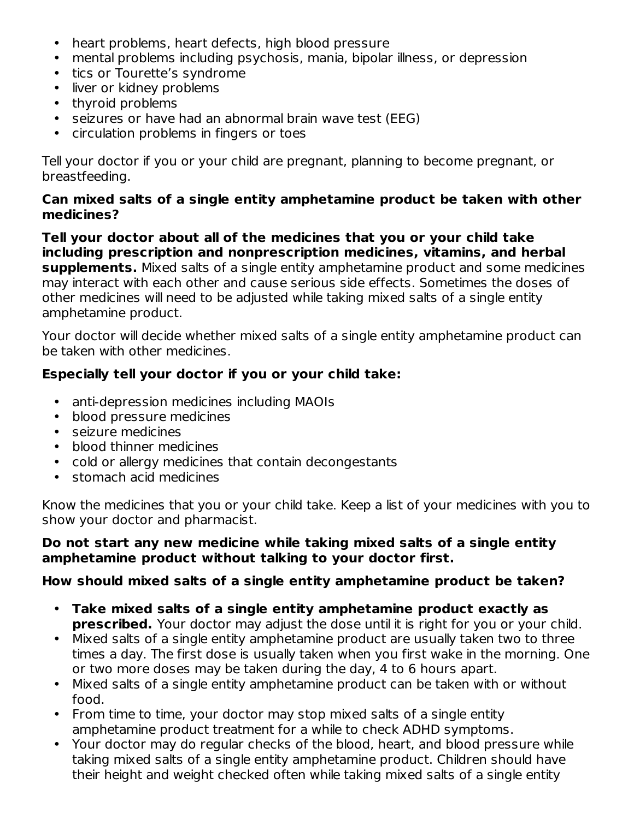- heart problems, heart defects, high blood pressure
- mental problems including psychosis, mania, bipolar illness, or depression
- tics or Tourette's syndrome
- liver or kidney problems
- thyroid problems
- seizures or have had an abnormal brain wave test (EEG)
- circulation problems in fingers or toes

Tell your doctor if you or your child are pregnant, planning to become pregnant, or breastfeeding.

#### **Can mixed salts of a single entity amphetamine product be taken with other medicines?**

**Tell your doctor about all of the medicines that you or your child take including prescription and nonprescription medicines, vitamins, and herbal supplements.** Mixed salts of a single entity amphetamine product and some medicines may interact with each other and cause serious side effects. Sometimes the doses of other medicines will need to be adjusted while taking mixed salts of a single entity amphetamine product.

Your doctor will decide whether mixed salts of a single entity amphetamine product can be taken with other medicines.

## **Especially tell your doctor if you or your child take:**

- anti-depression medicines including MAOIs
- blood pressure medicines
- seizure medicines
- blood thinner medicines
- cold or allergy medicines that contain decongestants
- stomach acid medicines

Know the medicines that you or your child take. Keep a list of your medicines with you to show your doctor and pharmacist.

#### **Do not start any new medicine while taking mixed salts of a single entity amphetamine product without talking to your doctor first.**

### **How should mixed salts of a single entity amphetamine product be taken?**

- **Take mixed salts of a single entity amphetamine product exactly as prescribed.** Your doctor may adjust the dose until it is right for you or your child.
- Mixed salts of a single entity amphetamine product are usually taken two to three times a day. The first dose is usually taken when you first wake in the morning. One or two more doses may be taken during the day, 4 to 6 hours apart.
- Mixed salts of a single entity amphetamine product can be taken with or without food.
- From time to time, your doctor may stop mixed salts of a single entity amphetamine product treatment for a while to check ADHD symptoms.
- Your doctor may do regular checks of the blood, heart, and blood pressure while taking mixed salts of a single entity amphetamine product. Children should have their height and weight checked often while taking mixed salts of a single entity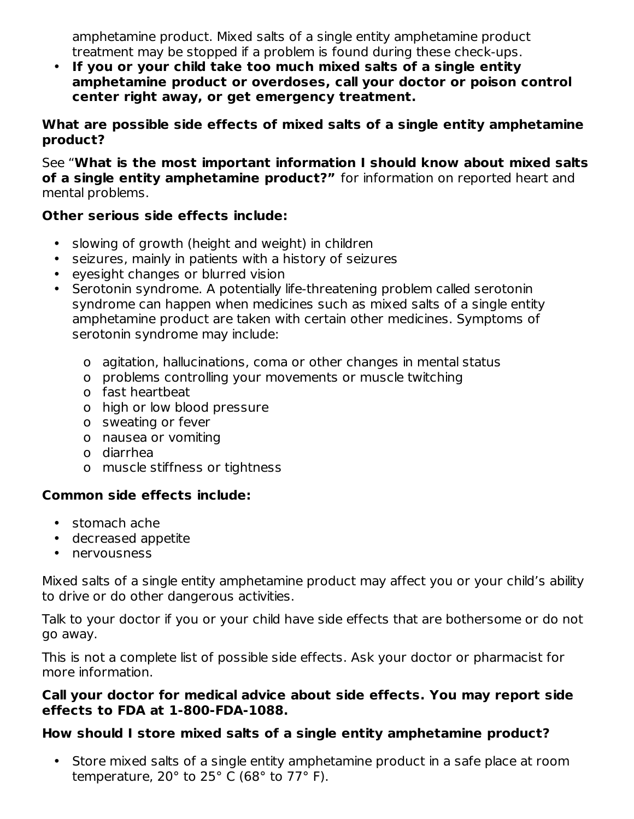amphetamine product. Mixed salts of a single entity amphetamine product treatment may be stopped if a problem is found during these check-ups.

• **If you or your child take too much mixed salts of a single entity amphetamine product or overdoses, call your doctor or poison control center right away, or get emergency treatment.**

#### **What are possible side effects of mixed salts of a single entity amphetamine product?**

See "**What is the most important information I should know about mixed salts of a single entity amphetamine product?"** for information on reported heart and mental problems.

### **Other serious side effects include:**

- slowing of growth (height and weight) in children
- seizures, mainly in patients with a history of seizures
- eyesight changes or blurred vision
- Serotonin syndrome. A potentially life-threatening problem called serotonin syndrome can happen when medicines such as mixed salts of a single entity amphetamine product are taken with certain other medicines. Symptoms of serotonin syndrome may include:
	- o agitation, hallucinations, coma or other changes in mental status
	- o problems controlling your movements or muscle twitching
	- o fast heartbeat
	- o high or low blood pressure
	- o sweating or fever
	- o nausea or vomiting
	- o diarrhea
	- o muscle stiffness or tightness

### **Common side effects include:**

- stomach ache
- decreased appetite
- nervousness

Mixed salts of a single entity amphetamine product may affect you or your child's ability to drive or do other dangerous activities.

Talk to your doctor if you or your child have side effects that are bothersome or do not go away.

This is not a complete list of possible side effects. Ask your doctor or pharmacist for more information.

#### **Call your doctor for medical advice about side effects. You may report side effects to FDA at 1-800-FDA-1088.**

### **How should I store mixed salts of a single entity amphetamine product?**

• Store mixed salts of a single entity amphetamine product in a safe place at room temperature, 20° to 25° C (68° to 77° F).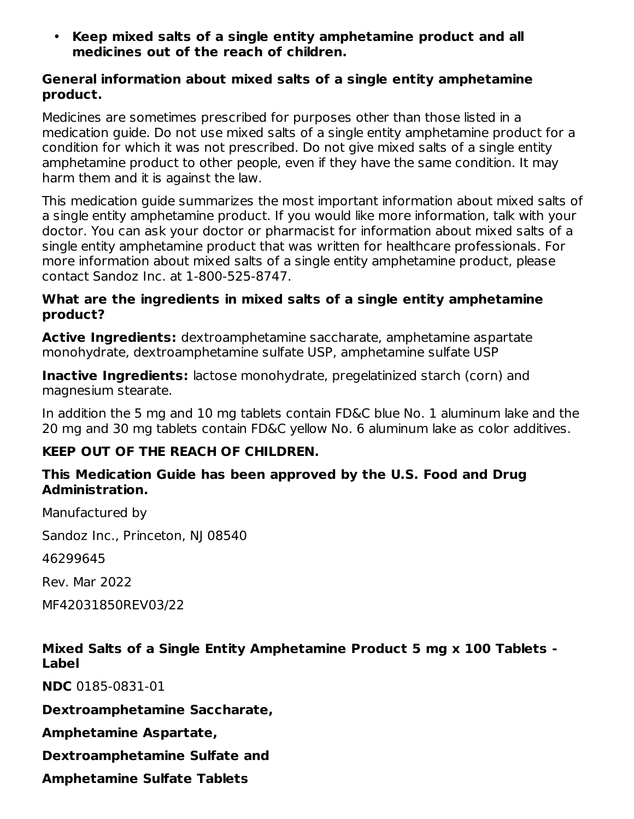• **Keep mixed salts of a single entity amphetamine product and all medicines out of the reach of children.**

#### **General information about mixed salts of a single entity amphetamine product.**

Medicines are sometimes prescribed for purposes other than those listed in a medication guide. Do not use mixed salts of a single entity amphetamine product for a condition for which it was not prescribed. Do not give mixed salts of a single entity amphetamine product to other people, even if they have the same condition. It may harm them and it is against the law.

This medication guide summarizes the most important information about mixed salts of a single entity amphetamine product. If you would like more information, talk with your doctor. You can ask your doctor or pharmacist for information about mixed salts of a single entity amphetamine product that was written for healthcare professionals. For more information about mixed salts of a single entity amphetamine product, please contact Sandoz Inc. at 1-800-525-8747.

#### **What are the ingredients in mixed salts of a single entity amphetamine product?**

**Active Ingredients:** dextroamphetamine saccharate, amphetamine aspartate monohydrate, dextroamphetamine sulfate USP, amphetamine sulfate USP

**Inactive Ingredients:** lactose monohydrate, pregelatinized starch (corn) and magnesium stearate.

In addition the 5 mg and 10 mg tablets contain FD&C blue No. 1 aluminum lake and the 20 mg and 30 mg tablets contain FD&C yellow No. 6 aluminum lake as color additives.

### **KEEP OUT OF THE REACH OF CHILDREN.**

#### **This Medication Guide has been approved by the U.S. Food and Drug Administration.**

Manufactured by

Sandoz Inc., Princeton, NJ 08540

46299645

Rev. Mar 2022

MF42031850REV03/22

#### **Mixed Salts of a Single Entity Amphetamine Product 5 mg x 100 Tablets - Label**

**NDC** 0185-0831-01

**Dextroamphetamine Saccharate,**

**Amphetamine Aspartate,**

**Dextroamphetamine Sulfate and**

**Amphetamine Sulfate Tablets**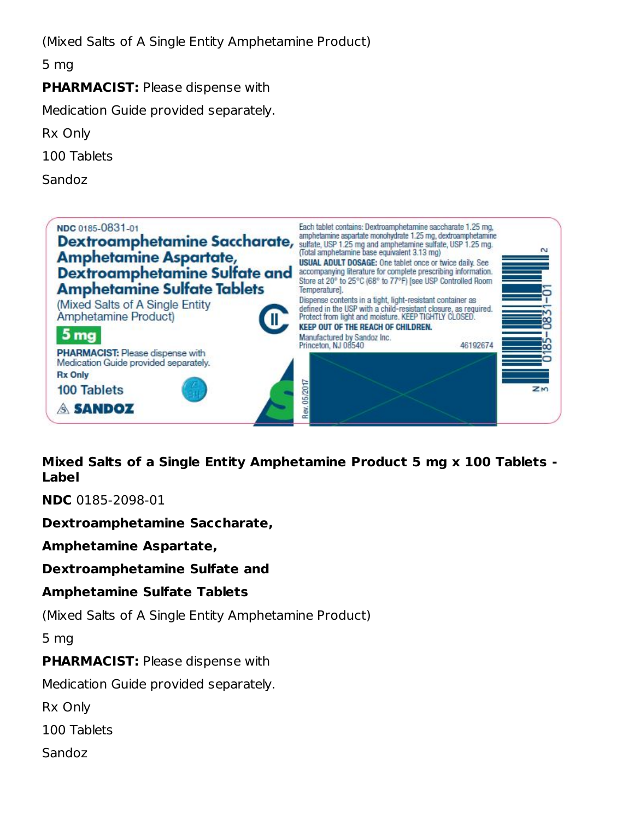(Mixed Salts of A Single Entity Amphetamine Product)

5 mg

**PHARMACIST:** Please dispense with

Medication Guide provided separately.

Rx Only

100 Tablets

Sandoz



**Mixed Salts of a Single Entity Amphetamine Product 5 mg x 100 Tablets - Label**

**NDC** 0185-2098-01

**Dextroamphetamine Saccharate,**

**Amphetamine Aspartate,**

**Dextroamphetamine Sulfate and**

**Amphetamine Sulfate Tablets**

(Mixed Salts of A Single Entity Amphetamine Product)

5 mg

**PHARMACIST:** Please dispense with

Medication Guide provided separately.

Rx Only

100 Tablets

Sandoz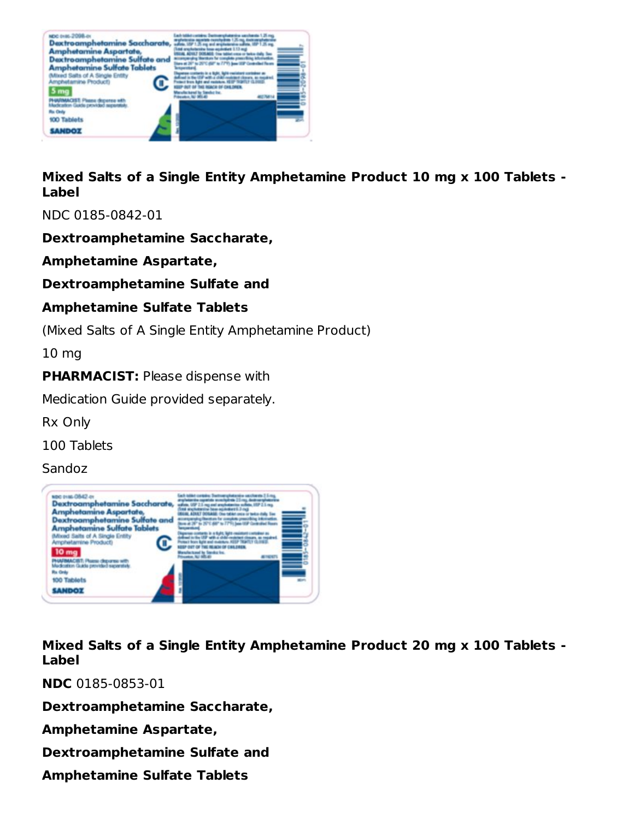

**Mixed Salts of a Single Entity Amphetamine Product 10 mg x 100 Tablets - Label**

NDC 0185-0842-01

**Dextroamphetamine Saccharate,**

**Amphetamine Aspartate,**

**Dextroamphetamine Sulfate and**

## **Amphetamine Sulfate Tablets**

(Mixed Salts of A Single Entity Amphetamine Product)

10 mg

**PHARMACIST:** Please dispense with

Medication Guide provided separately.

Rx Only

100 Tablets

Sandoz



**Mixed Salts of a Single Entity Amphetamine Product 20 mg x 100 Tablets - Label**

**NDC** 0185-0853-01

**Dextroamphetamine Saccharate,**

**Amphetamine Aspartate,**

**Dextroamphetamine Sulfate and**

**Amphetamine Sulfate Tablets**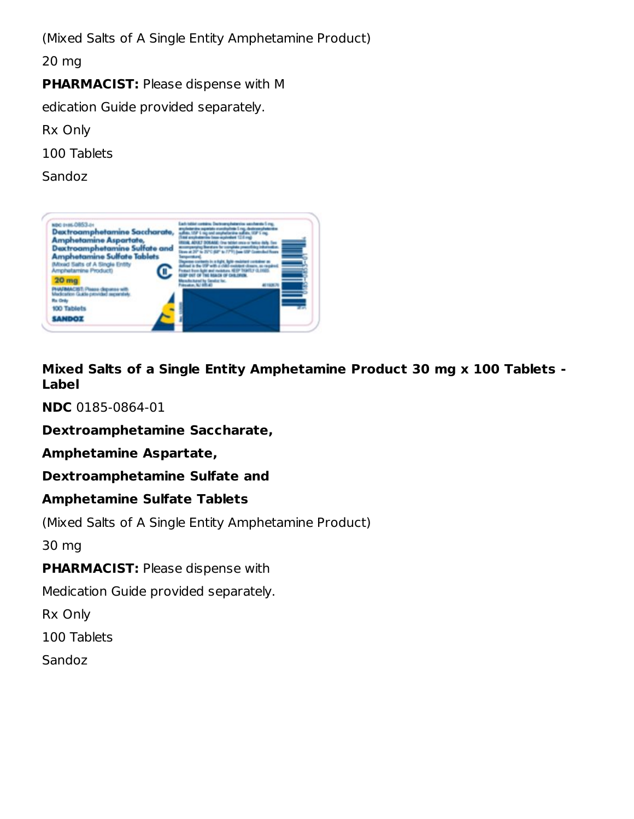(Mixed Salts of A Single Entity Amphetamine Product)

20 mg

**PHARMACIST:** Please dispense with M

edication Guide provided separately.

Rx Only

100 Tablets

Sandoz



**Mixed Salts of a Single Entity Amphetamine Product 30 mg x 100 Tablets - Label**

**NDC** 0185-0864-01

**Dextroamphetamine Saccharate,**

**Amphetamine Aspartate,**

**Dextroamphetamine Sulfate and**

## **Amphetamine Sulfate Tablets**

(Mixed Salts of A Single Entity Amphetamine Product)

30 mg

**PHARMACIST:** Please dispense with

Medication Guide provided separately.

Rx Only

100 Tablets

Sandoz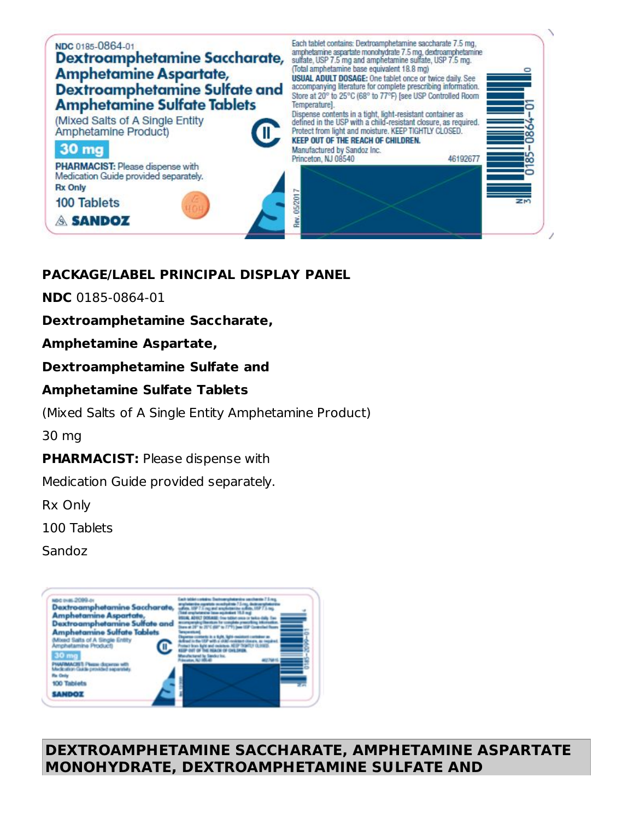

## **PACKAGE/LABEL PRINCIPAL DISPLAY PANEL**

**NDC** 0185-0864-01

**Dextroamphetamine Saccharate,**

### **Amphetamine Aspartate,**

#### **Dextroamphetamine Sulfate and**

### **Amphetamine Sulfate Tablets**

(Mixed Salts of A Single Entity Amphetamine Product)

30 mg

### **PHARMACIST:** Please dispense with

Medication Guide provided separately.

Rx Only

100 Tablets

Sandoz



## **DEXTROAMPHETAMINE SACCHARATE, AMPHETAMINE ASPARTATE MONOHYDRATE, DEXTROAMPHETAMINE SULFATE AND**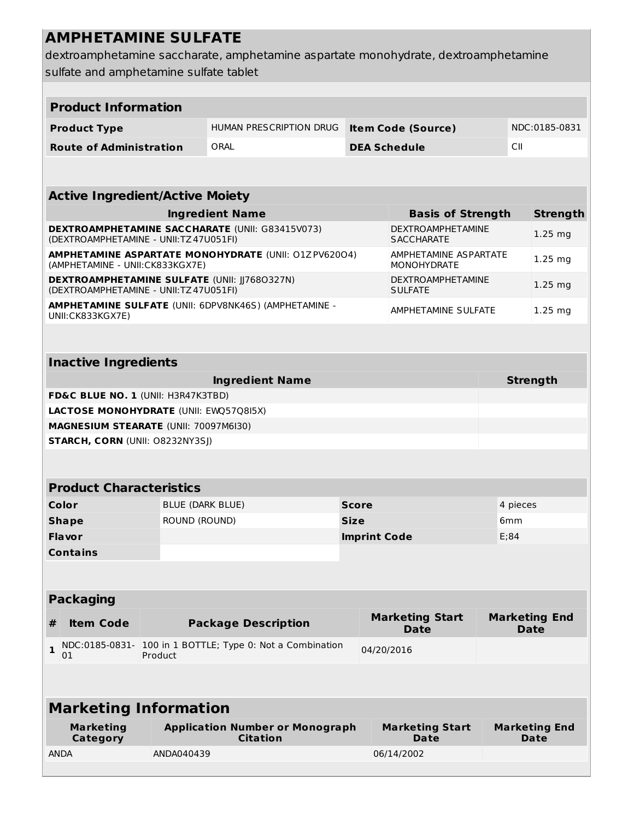# **AMPHETAMINE SULFATE**

| <b>Product Information</b>                                                                    |                         |                                                             |                     |                                               |          |                                     |
|-----------------------------------------------------------------------------------------------|-------------------------|-------------------------------------------------------------|---------------------|-----------------------------------------------|----------|-------------------------------------|
| <b>Product Type</b>                                                                           |                         | HUMAN PRESCRIPTION DRUG                                     |                     | <b>Item Code (Source)</b>                     |          | NDC:0185-0831                       |
| <b>Route of Administration</b>                                                                |                         | ORAL                                                        |                     | <b>DEA Schedule</b>                           | CII      |                                     |
|                                                                                               |                         |                                                             |                     |                                               |          |                                     |
|                                                                                               |                         |                                                             |                     |                                               |          |                                     |
| <b>Active Ingredient/Active Moiety</b>                                                        |                         |                                                             |                     |                                               |          |                                     |
|                                                                                               |                         | <b>Ingredient Name</b>                                      |                     | <b>Basis of Strength</b>                      |          | <b>Strength</b>                     |
| (DEXTROAMPHETAMINE - UNII:TZ 47U051FI)                                                        |                         | <b>DEXTROAMPHETAMINE SACCHARATE (UNII: G83415V073)</b>      |                     | <b>DEXTROAMPHETAMINE</b><br><b>SACCHARATE</b> |          | $1.25$ mg                           |
| (AMPHETAMINE - UNII:CK833KGX7E)                                                               |                         | <b>AMPHETAMINE ASPARTATE MONOHYDRATE (UNII: 01ZPV62004)</b> |                     | AMPHETAMINE AS PARTATE<br><b>MONOHYDRATE</b>  |          | $1.25$ mg                           |
| <b>DEXTROAMPHETAMINE SULFATE (UNII: JJ7680327N)</b><br>(DEXTROAMPHETAMINE - UNII:TZ 47U051FI) |                         |                                                             |                     | <b>DEXTROAMPHETAMINE</b><br><b>SULFATE</b>    |          | $1.25$ mg                           |
| UNII:CK833KGX7E)                                                                              |                         | AMPHETAMINE SULFATE (UNII: 6DPV8NK46S) (AMPHETAMINE -       |                     | AMPHETAMINE SULFATE                           |          | $1.25$ mg                           |
|                                                                                               |                         |                                                             |                     |                                               |          |                                     |
| <b>Inactive Ingredients</b>                                                                   |                         |                                                             |                     |                                               |          |                                     |
|                                                                                               |                         | <b>Ingredient Name</b>                                      |                     |                                               |          | <b>Strength</b>                     |
| FD&C BLUE NO. 1 (UNII: H3R47K3TBD)                                                            |                         |                                                             |                     |                                               |          |                                     |
| <b>LACTOSE MONOHYDRATE (UNII: EWQ57Q8I5X)</b>                                                 |                         |                                                             |                     |                                               |          |                                     |
| MAGNESIUM STEARATE (UNII: 70097M6I30)                                                         |                         |                                                             |                     |                                               |          |                                     |
| <b>STARCH, CORN (UNII: O8232NY3SJ)</b>                                                        |                         |                                                             |                     |                                               |          |                                     |
|                                                                                               |                         |                                                             |                     |                                               |          |                                     |
| <b>Product Characteristics</b>                                                                |                         |                                                             |                     |                                               |          |                                     |
| Color                                                                                         | <b>BLUE (DARK BLUE)</b> |                                                             | <b>Score</b>        |                                               | 4 pieces |                                     |
| <b>Shape</b>                                                                                  | ROUND (ROUND)           |                                                             | <b>Size</b>         |                                               | 6mm      |                                     |
| <b>Flavor</b>                                                                                 |                         |                                                             | <b>Imprint Code</b> |                                               | E:84     |                                     |
| <b>Contains</b>                                                                               |                         |                                                             |                     |                                               |          |                                     |
|                                                                                               |                         |                                                             |                     |                                               |          |                                     |
| <b>Packaging</b>                                                                              |                         |                                                             |                     |                                               |          |                                     |
| <b>Item Code</b><br>#                                                                         |                         | <b>Package Description</b>                                  |                     | <b>Marketing Start</b><br><b>Date</b>         |          | <b>Marketing End</b><br><b>Date</b> |
| NDC:0185-0831-<br>1<br>01                                                                     | Product                 | 100 in 1 BOTTLE; Type 0: Not a Combination                  |                     | 04/20/2016                                    |          |                                     |
|                                                                                               |                         |                                                             |                     |                                               |          |                                     |
| <b>Marketing Information</b>                                                                  |                         |                                                             |                     |                                               |          |                                     |
| <b>Marketing</b><br>Category                                                                  |                         | <b>Application Number or Monograph</b><br><b>Citation</b>   |                     | <b>Marketing Start</b><br><b>Date</b>         |          | <b>Marketing End</b><br>Date        |
| <b>ANDA</b>                                                                                   | ANDA040439              |                                                             |                     | 06/14/2002                                    |          |                                     |
|                                                                                               |                         |                                                             |                     |                                               |          |                                     |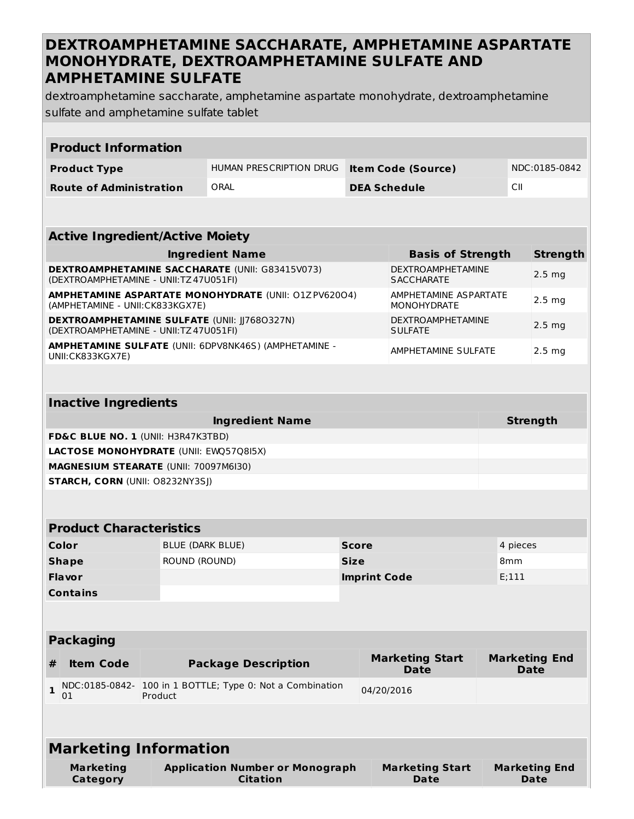## **DEXTROAMPHETAMINE SACCHARATE, AMPHETAMINE ASPARTATE MONOHYDRATE, DEXTROAMPHETAMINE SULFATE AND AMPHETAMINE SULFATE**

| HUMAN PRESCRIPTION DRUG<br>NDC:0185-0842<br><b>Product Type</b><br><b>Item Code (Source)</b><br>ORAL<br>CII<br><b>Route of Administration</b><br><b>DEA Schedule</b><br><b>Active Ingredient/Active Moiety</b><br><b>Ingredient Name</b><br><b>Strength</b><br><b>Basis of Strength</b><br><b>DEXTROAMPHETAMINE SACCHARATE (UNII: G83415V073)</b><br><b>DEXTROAMPHETAMINE</b><br>$2.5 \, mg$<br>(DEXTROAMPHETAMINE - UNII:TZ 47U051FI)<br><b>SACCHARATE</b><br><b>AMPHETAMINE ASPARTATE MONOHYDRATE (UNII: 01ZPV62004)</b><br>AMPHETAMINE AS PARTATE<br>$2.5 \, mg$<br>(AMPHETAMINE - UNII:CK833KGX7E)<br><b>MONOHYDRATE</b><br><b>DEXTROAMPHETAMINE SULFATE (UNII: JJ7680327N)</b><br><b>DEXTROAMPHETAMINE</b><br>2.5 <sub>mg</sub><br>(DEXTROAMPHETAMINE - UNII:TZ 47U051FI)<br><b>SULFATE</b><br>AMPHETAMINE SULFATE (UNII: 6DPV8NK46S) (AMPHETAMINE -<br>AMPHETAMINE SULFATE<br>2.5 <sub>mg</sub><br><b>Strength</b><br><b>Ingredient Name</b><br>FD&C BLUE NO. 1 (UNII: H3R47K3TBD)<br><b>LACTOSE MONOHYDRATE (UNII: EWQ57Q8I5X)</b><br>MAGNESIUM STEARATE (UNII: 70097M6I30)<br>STARCH, CORN (UNII: O8232NY3SJ)<br><b>Product Characteristics</b><br>4 pieces<br><b>BLUE (DARK BLUE)</b><br><b>Score</b><br>ROUND (ROUND)<br><b>Size</b><br>8 <sub>mm</sub><br>E:111<br><b>Imprint Code</b><br><b>Contains</b><br><b>Marketing Start</b><br><b>Marketing End</b><br><b>Package Description</b><br><b>Item Code</b><br><b>Date</b><br><b>Date</b><br>NDC:0185-0842-<br>100 in 1 BOTTLE; Type 0: Not a Combination<br>1<br>04/20/2016<br>Product<br>01<br><b>Marketing Information</b><br><b>Marketing</b><br><b>Application Number or Monograph</b><br><b>Marketing Start</b><br><b>Marketing End</b><br><b>Citation</b><br>Date<br>Date | <b>Product Information</b>  |  |  |  |  |  |  |
|-----------------------------------------------------------------------------------------------------------------------------------------------------------------------------------------------------------------------------------------------------------------------------------------------------------------------------------------------------------------------------------------------------------------------------------------------------------------------------------------------------------------------------------------------------------------------------------------------------------------------------------------------------------------------------------------------------------------------------------------------------------------------------------------------------------------------------------------------------------------------------------------------------------------------------------------------------------------------------------------------------------------------------------------------------------------------------------------------------------------------------------------------------------------------------------------------------------------------------------------------------------------------------------------------------------------------------------------------------------------------------------------------------------------------------------------------------------------------------------------------------------------------------------------------------------------------------------------------------------------------------------------------------------------------------------------------------------------------------------------------|-----------------------------|--|--|--|--|--|--|
|                                                                                                                                                                                                                                                                                                                                                                                                                                                                                                                                                                                                                                                                                                                                                                                                                                                                                                                                                                                                                                                                                                                                                                                                                                                                                                                                                                                                                                                                                                                                                                                                                                                                                                                                               |                             |  |  |  |  |  |  |
|                                                                                                                                                                                                                                                                                                                                                                                                                                                                                                                                                                                                                                                                                                                                                                                                                                                                                                                                                                                                                                                                                                                                                                                                                                                                                                                                                                                                                                                                                                                                                                                                                                                                                                                                               |                             |  |  |  |  |  |  |
|                                                                                                                                                                                                                                                                                                                                                                                                                                                                                                                                                                                                                                                                                                                                                                                                                                                                                                                                                                                                                                                                                                                                                                                                                                                                                                                                                                                                                                                                                                                                                                                                                                                                                                                                               |                             |  |  |  |  |  |  |
|                                                                                                                                                                                                                                                                                                                                                                                                                                                                                                                                                                                                                                                                                                                                                                                                                                                                                                                                                                                                                                                                                                                                                                                                                                                                                                                                                                                                                                                                                                                                                                                                                                                                                                                                               |                             |  |  |  |  |  |  |
|                                                                                                                                                                                                                                                                                                                                                                                                                                                                                                                                                                                                                                                                                                                                                                                                                                                                                                                                                                                                                                                                                                                                                                                                                                                                                                                                                                                                                                                                                                                                                                                                                                                                                                                                               |                             |  |  |  |  |  |  |
|                                                                                                                                                                                                                                                                                                                                                                                                                                                                                                                                                                                                                                                                                                                                                                                                                                                                                                                                                                                                                                                                                                                                                                                                                                                                                                                                                                                                                                                                                                                                                                                                                                                                                                                                               |                             |  |  |  |  |  |  |
|                                                                                                                                                                                                                                                                                                                                                                                                                                                                                                                                                                                                                                                                                                                                                                                                                                                                                                                                                                                                                                                                                                                                                                                                                                                                                                                                                                                                                                                                                                                                                                                                                                                                                                                                               |                             |  |  |  |  |  |  |
|                                                                                                                                                                                                                                                                                                                                                                                                                                                                                                                                                                                                                                                                                                                                                                                                                                                                                                                                                                                                                                                                                                                                                                                                                                                                                                                                                                                                                                                                                                                                                                                                                                                                                                                                               |                             |  |  |  |  |  |  |
|                                                                                                                                                                                                                                                                                                                                                                                                                                                                                                                                                                                                                                                                                                                                                                                                                                                                                                                                                                                                                                                                                                                                                                                                                                                                                                                                                                                                                                                                                                                                                                                                                                                                                                                                               |                             |  |  |  |  |  |  |
|                                                                                                                                                                                                                                                                                                                                                                                                                                                                                                                                                                                                                                                                                                                                                                                                                                                                                                                                                                                                                                                                                                                                                                                                                                                                                                                                                                                                                                                                                                                                                                                                                                                                                                                                               | UNII:CK833KGX7E)            |  |  |  |  |  |  |
|                                                                                                                                                                                                                                                                                                                                                                                                                                                                                                                                                                                                                                                                                                                                                                                                                                                                                                                                                                                                                                                                                                                                                                                                                                                                                                                                                                                                                                                                                                                                                                                                                                                                                                                                               |                             |  |  |  |  |  |  |
|                                                                                                                                                                                                                                                                                                                                                                                                                                                                                                                                                                                                                                                                                                                                                                                                                                                                                                                                                                                                                                                                                                                                                                                                                                                                                                                                                                                                                                                                                                                                                                                                                                                                                                                                               | <b>Inactive Ingredients</b> |  |  |  |  |  |  |
|                                                                                                                                                                                                                                                                                                                                                                                                                                                                                                                                                                                                                                                                                                                                                                                                                                                                                                                                                                                                                                                                                                                                                                                                                                                                                                                                                                                                                                                                                                                                                                                                                                                                                                                                               |                             |  |  |  |  |  |  |
|                                                                                                                                                                                                                                                                                                                                                                                                                                                                                                                                                                                                                                                                                                                                                                                                                                                                                                                                                                                                                                                                                                                                                                                                                                                                                                                                                                                                                                                                                                                                                                                                                                                                                                                                               |                             |  |  |  |  |  |  |
|                                                                                                                                                                                                                                                                                                                                                                                                                                                                                                                                                                                                                                                                                                                                                                                                                                                                                                                                                                                                                                                                                                                                                                                                                                                                                                                                                                                                                                                                                                                                                                                                                                                                                                                                               |                             |  |  |  |  |  |  |
|                                                                                                                                                                                                                                                                                                                                                                                                                                                                                                                                                                                                                                                                                                                                                                                                                                                                                                                                                                                                                                                                                                                                                                                                                                                                                                                                                                                                                                                                                                                                                                                                                                                                                                                                               |                             |  |  |  |  |  |  |
|                                                                                                                                                                                                                                                                                                                                                                                                                                                                                                                                                                                                                                                                                                                                                                                                                                                                                                                                                                                                                                                                                                                                                                                                                                                                                                                                                                                                                                                                                                                                                                                                                                                                                                                                               |                             |  |  |  |  |  |  |
|                                                                                                                                                                                                                                                                                                                                                                                                                                                                                                                                                                                                                                                                                                                                                                                                                                                                                                                                                                                                                                                                                                                                                                                                                                                                                                                                                                                                                                                                                                                                                                                                                                                                                                                                               |                             |  |  |  |  |  |  |
|                                                                                                                                                                                                                                                                                                                                                                                                                                                                                                                                                                                                                                                                                                                                                                                                                                                                                                                                                                                                                                                                                                                                                                                                                                                                                                                                                                                                                                                                                                                                                                                                                                                                                                                                               |                             |  |  |  |  |  |  |
|                                                                                                                                                                                                                                                                                                                                                                                                                                                                                                                                                                                                                                                                                                                                                                                                                                                                                                                                                                                                                                                                                                                                                                                                                                                                                                                                                                                                                                                                                                                                                                                                                                                                                                                                               | Color                       |  |  |  |  |  |  |
|                                                                                                                                                                                                                                                                                                                                                                                                                                                                                                                                                                                                                                                                                                                                                                                                                                                                                                                                                                                                                                                                                                                                                                                                                                                                                                                                                                                                                                                                                                                                                                                                                                                                                                                                               | <b>Shape</b>                |  |  |  |  |  |  |
|                                                                                                                                                                                                                                                                                                                                                                                                                                                                                                                                                                                                                                                                                                                                                                                                                                                                                                                                                                                                                                                                                                                                                                                                                                                                                                                                                                                                                                                                                                                                                                                                                                                                                                                                               | <b>Flavor</b>               |  |  |  |  |  |  |
|                                                                                                                                                                                                                                                                                                                                                                                                                                                                                                                                                                                                                                                                                                                                                                                                                                                                                                                                                                                                                                                                                                                                                                                                                                                                                                                                                                                                                                                                                                                                                                                                                                                                                                                                               |                             |  |  |  |  |  |  |
|                                                                                                                                                                                                                                                                                                                                                                                                                                                                                                                                                                                                                                                                                                                                                                                                                                                                                                                                                                                                                                                                                                                                                                                                                                                                                                                                                                                                                                                                                                                                                                                                                                                                                                                                               |                             |  |  |  |  |  |  |
|                                                                                                                                                                                                                                                                                                                                                                                                                                                                                                                                                                                                                                                                                                                                                                                                                                                                                                                                                                                                                                                                                                                                                                                                                                                                                                                                                                                                                                                                                                                                                                                                                                                                                                                                               | <b>Packaging</b>            |  |  |  |  |  |  |
|                                                                                                                                                                                                                                                                                                                                                                                                                                                                                                                                                                                                                                                                                                                                                                                                                                                                                                                                                                                                                                                                                                                                                                                                                                                                                                                                                                                                                                                                                                                                                                                                                                                                                                                                               | #                           |  |  |  |  |  |  |
|                                                                                                                                                                                                                                                                                                                                                                                                                                                                                                                                                                                                                                                                                                                                                                                                                                                                                                                                                                                                                                                                                                                                                                                                                                                                                                                                                                                                                                                                                                                                                                                                                                                                                                                                               |                             |  |  |  |  |  |  |
|                                                                                                                                                                                                                                                                                                                                                                                                                                                                                                                                                                                                                                                                                                                                                                                                                                                                                                                                                                                                                                                                                                                                                                                                                                                                                                                                                                                                                                                                                                                                                                                                                                                                                                                                               |                             |  |  |  |  |  |  |
|                                                                                                                                                                                                                                                                                                                                                                                                                                                                                                                                                                                                                                                                                                                                                                                                                                                                                                                                                                                                                                                                                                                                                                                                                                                                                                                                                                                                                                                                                                                                                                                                                                                                                                                                               |                             |  |  |  |  |  |  |
|                                                                                                                                                                                                                                                                                                                                                                                                                                                                                                                                                                                                                                                                                                                                                                                                                                                                                                                                                                                                                                                                                                                                                                                                                                                                                                                                                                                                                                                                                                                                                                                                                                                                                                                                               | Category                    |  |  |  |  |  |  |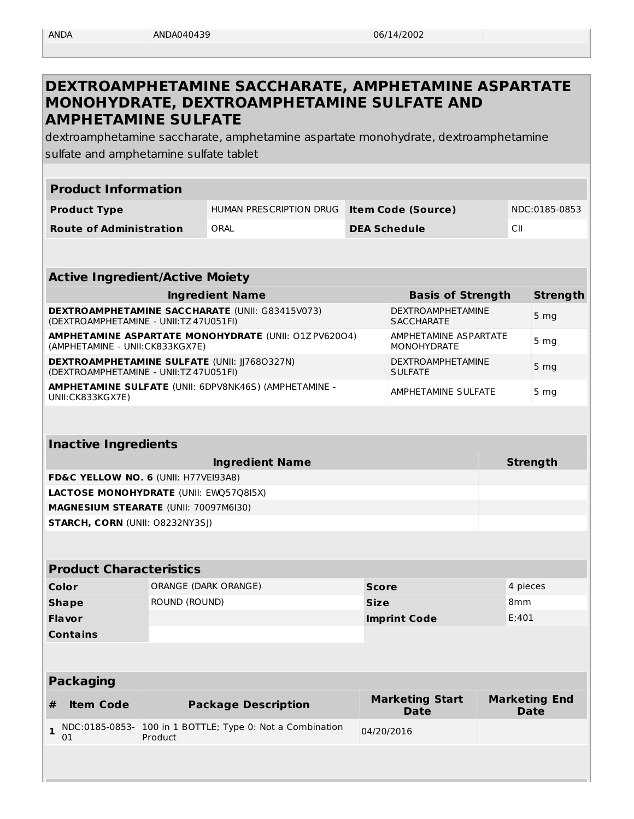### **DEXTROAMPHETAMINE SACCHARATE, AMPHETAMINE ASPARTATE MONOHYDRATE, DEXTROAMPHETAMINE SULFATE AND AMPHETAMINE SULFATE**

| <b>Product Information</b>                                                                    |                      |                                                             |              |                                               |                 |                 |
|-----------------------------------------------------------------------------------------------|----------------------|-------------------------------------------------------------|--------------|-----------------------------------------------|-----------------|-----------------|
| <b>Product Type</b>                                                                           |                      | <b>HUMAN PRESCRIPTION DRUG</b>                              |              | <b>Item Code (Source)</b>                     |                 | NDC:0185-0853   |
| <b>Route of Administration</b>                                                                |                      | ORAL                                                        |              | <b>DEA Schedule</b>                           | CII             |                 |
|                                                                                               |                      |                                                             |              |                                               |                 |                 |
| <b>Active Ingredient/Active Moiety</b>                                                        |                      |                                                             |              |                                               |                 |                 |
|                                                                                               |                      | <b>Ingredient Name</b>                                      |              | <b>Basis of Strength</b>                      |                 | <b>Strength</b> |
| (DEXTROAMPHETAMINE - UNII:TZ 47U051FI)                                                        |                      | <b>DEXTROAMPHETAMINE SACCHARATE (UNII: G83415V073)</b>      |              | <b>DEXTROAMPHETAMINE</b><br><b>SACCHARATE</b> |                 | 5 <sub>mg</sub> |
| (AMPHETAMINE - UNII:CK833KGX7E)                                                               |                      | <b>AMPHETAMINE ASPARTATE MONOHYDRATE (UNII: 01ZPV62004)</b> |              | AMPHETAMINE AS PARTATE<br><b>MONOHYDRATE</b>  |                 | 5 <sub>mg</sub> |
| <b>DEXTROAMPHETAMINE SULFATE (UNII: JJ7680327N)</b><br>(DEXTROAMPHETAMINE - UNII:TZ 47U051FI) |                      |                                                             |              | <b>DEXTROAMPHETAMINE</b><br><b>SULFATE</b>    |                 | 5 mg            |
| UNII: CK833KGX7E)                                                                             |                      | AMPHETAMINE SULFATE (UNII: 6DPV8NK46S) (AMPHETAMINE -       |              | <b>AMPHETAMINE SULFATE</b>                    |                 | 5 <sub>mg</sub> |
|                                                                                               |                      |                                                             |              |                                               |                 |                 |
| <b>Inactive Ingredients</b>                                                                   |                      |                                                             |              |                                               |                 |                 |
|                                                                                               |                      | <b>Ingredient Name</b>                                      |              |                                               |                 | <b>Strength</b> |
| FD&C YELLOW NO. 6 (UNII: H77VEI93A8)                                                          |                      |                                                             |              |                                               |                 |                 |
| LACTOSE MONOHYDRATE (UNII: EWQ57Q8I5X)                                                        |                      |                                                             |              |                                               |                 |                 |
| <b>MAGNESIUM STEARATE (UNII: 70097M6I30)</b>                                                  |                      |                                                             |              |                                               |                 |                 |
| <b>STARCH, CORN (UNII: O8232NY3SJ)</b>                                                        |                      |                                                             |              |                                               |                 |                 |
|                                                                                               |                      |                                                             |              |                                               |                 |                 |
| <b>Product Characteristics</b>                                                                |                      |                                                             |              |                                               |                 |                 |
| Color                                                                                         | ORANGE (DARK ORANGE) |                                                             | <b>Score</b> |                                               | 4 pieces        |                 |
| <b>Shape</b>                                                                                  | ROUND (ROUND)        |                                                             | <b>Size</b>  |                                               | 8 <sub>mm</sub> |                 |
| <b>Flavor</b>                                                                                 |                      |                                                             |              | <b>Imprint Code</b>                           | E:401           |                 |
| <b>Contains</b>                                                                               |                      |                                                             |              |                                               |                 |                 |
|                                                                                               |                      |                                                             |              |                                               |                 |                 |
| Packaging                                                                                     |                      |                                                             |              |                                               |                 |                 |

| - ------------   |                                                                                    |                                       |                                     |
|------------------|------------------------------------------------------------------------------------|---------------------------------------|-------------------------------------|
| <b>Item Code</b> | <b>Package Description</b>                                                         | <b>Marketing Start</b><br><b>Date</b> | <b>Marketing End</b><br><b>Date</b> |
| 01               | $\frac{1}{1}$ NDC:0185-0853- 100 in 1 BOTTLE; Type 0: Not a Combination<br>Product | 04/20/2016                            |                                     |
|                  |                                                                                    |                                       |                                     |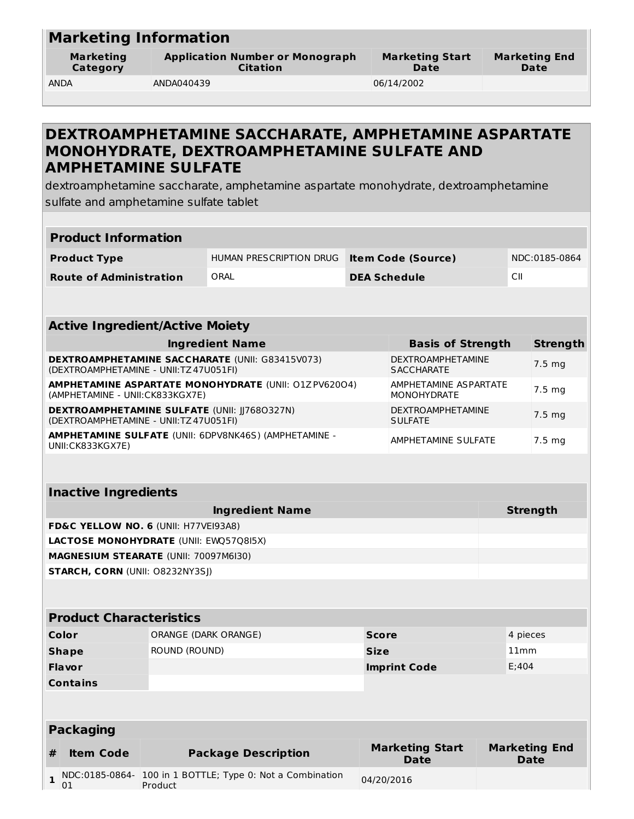| <b>Marketing</b><br><b>Category</b> | <b>Application Number or Monograph</b><br><b>Citation</b>                          | <b>Marketing Start</b><br><b>Date</b> | <b>Marketing End</b><br>Date |
|-------------------------------------|------------------------------------------------------------------------------------|---------------------------------------|------------------------------|
| <b>ANDA</b>                         | ANDA040439                                                                         | 06/14/2002                            |                              |
|                                     |                                                                                    |                                       |                              |
|                                     |                                                                                    |                                       |                              |
|                                     |                                                                                    |                                       |                              |
|                                     |                                                                                    |                                       |                              |
|                                     | DEXTROAMPHETAMINE SACCHARATE, AMPHETAMINE ASPARTATE                                |                                       |                              |
|                                     | MONOHYDRATE, DEXTROAMPHETAMINE SULFATE AND                                         |                                       |                              |
|                                     | <b>AMPHETAMINE SULFATE</b>                                                         |                                       |                              |
|                                     | dextroamphetamine saccharate, amphetamine aspartate monohydrate, dextroamphetamine |                                       |                              |

| <b>Proguct Thromation</b>      |                         |                           |               |
|--------------------------------|-------------------------|---------------------------|---------------|
| <b>Product Type</b>            | HUMAN PRESCRIPTION DRUG | <b>Item Code (Source)</b> | NDC:0185-0864 |
| <b>Route of Administration</b> | ORAL                    | <b>DEA Schedule</b>       | СII           |

| <b>Active Ingredient/Active Moiety</b>                                                           |                                               |                  |
|--------------------------------------------------------------------------------------------------|-----------------------------------------------|------------------|
| <b>Ingredient Name</b>                                                                           | <b>Basis of Strength</b>                      | <b>Strength</b>  |
| <b>DEXTROAMPHETAMINE SACCHARATE (UNII: G83415V073)</b><br>(DEXTROAMPHETAMINE - UNII:TZ 47U051FI) | <b>DEXTROAMPHETAMINE</b><br><b>SACCHARATE</b> | 7.5 mg           |
| <b>AMPHETAMINE ASPARTATE MONOHYDRATE (UNII: 01ZPV62004)</b><br>(AMPHETAMINE - UNII:CK833KGX7E)   | AMPHETAMINE AS PARTATE<br><b>MONOHYDRATE</b>  | $7.5 \text{ mg}$ |
| <b>DEXTROAMPHETAMINE SULFATE (UNII: JJ7680327N)</b><br>(DEXTROAMPHETAMINE - UNII:TZ 47U051FI)    | <b>DEXTROAMPHETAMINE</b><br><b>SULFATE</b>    | $7.5$ mg         |
| <b>AMPHETAMINE SULFATE (UNII: 6DPV8NK46S) (AMPHETAMINE -</b><br>UNII:CK833KGX7E)                 | AMPHETAMINE SULFATE                           | $7.5 \text{ ma}$ |

| <b>Strength</b> |
|-----------------|
|                 |
|                 |
|                 |
|                 |
|                 |

| <b>Product Characteristics</b> |                      |                     |          |  |  |  |
|--------------------------------|----------------------|---------------------|----------|--|--|--|
| Color                          | ORANGE (DARK ORANGE) | <b>Score</b>        | 4 pieces |  |  |  |
| <b>Shape</b>                   | ROUND (ROUND)        | <b>Size</b>         | 11mm     |  |  |  |
| <b>Flavor</b>                  |                      | <b>Imprint Code</b> | E:404    |  |  |  |
| <b>Contains</b>                |                      |                     |          |  |  |  |
|                                |                      |                     |          |  |  |  |

| Packaging        |                                                                      |                                       |                                     |  |  |  |  |
|------------------|----------------------------------------------------------------------|---------------------------------------|-------------------------------------|--|--|--|--|
| <b>Item Code</b> | <b>Package Description</b>                                           | <b>Marketing Start</b><br><b>Date</b> | <b>Marketing End</b><br><b>Date</b> |  |  |  |  |
| 01               | NDC:0185-0864- 100 in 1 BOTTLE; Type 0: Not a Combination<br>Product | 04/20/2016                            |                                     |  |  |  |  |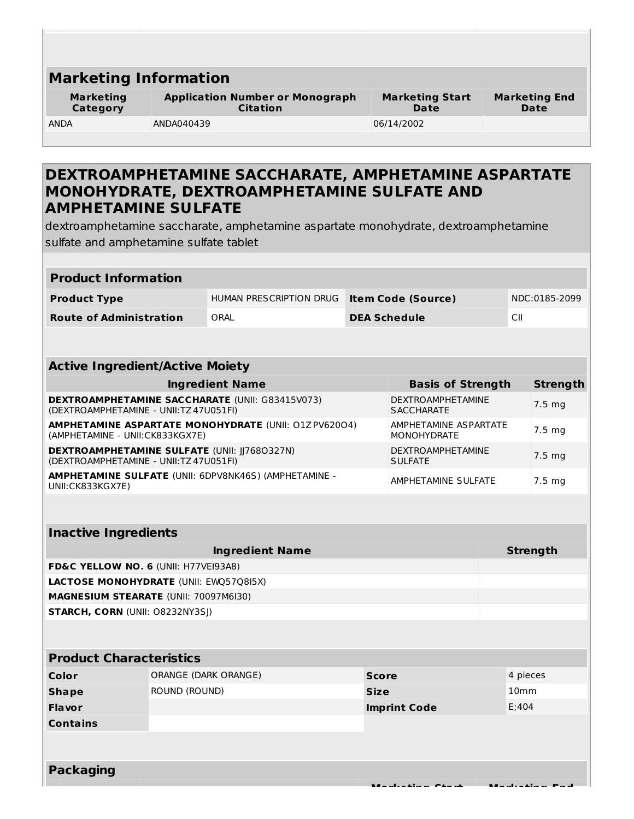| <b>Marketing Information</b>                                                                                                                      |                      |                                                                                                          |              |                                            |                   |          |                              |
|---------------------------------------------------------------------------------------------------------------------------------------------------|----------------------|----------------------------------------------------------------------------------------------------------|--------------|--------------------------------------------|-------------------|----------|------------------------------|
| <b>Marketing</b><br>Category                                                                                                                      |                      | <b>Application Number or Monograph</b><br><b>Citation</b>                                                |              | <b>Marketing Start</b><br>Date             |                   |          | <b>Marketing End</b><br>Date |
| <b>ANDA</b>                                                                                                                                       | ANDA040439           |                                                                                                          |              | 06/14/2002                                 |                   |          |                              |
|                                                                                                                                                   |                      |                                                                                                          |              |                                            |                   |          |                              |
|                                                                                                                                                   |                      |                                                                                                          |              |                                            |                   |          |                              |
| <b>AMPHETAMINE SULFATE</b>                                                                                                                        |                      | DEXTROAMPHETAMINE SACCHARATE, AMPHETAMINE ASPARTATE<br><b>MONOHYDRATE, DEXTROAMPHETAMINE SULFATE AND</b> |              |                                            |                   |          |                              |
|                                                                                                                                                   |                      | dextroamphetamine saccharate, amphetamine aspartate monohydrate, dextroamphetamine                       |              |                                            |                   |          |                              |
| sulfate and amphetamine sulfate tablet                                                                                                            |                      |                                                                                                          |              |                                            |                   |          |                              |
|                                                                                                                                                   |                      |                                                                                                          |              |                                            |                   |          |                              |
| <b>Product Information</b>                                                                                                                        |                      |                                                                                                          |              |                                            |                   |          |                              |
| <b>Product Type</b>                                                                                                                               |                      | HUMAN PRESCRIPTION DRUG                                                                                  |              | <b>Item Code (Source)</b>                  |                   |          | NDC:0185-2099                |
| <b>Route of Administration</b>                                                                                                                    |                      | ORAL                                                                                                     |              | <b>DEA Schedule</b>                        |                   | CII      |                              |
|                                                                                                                                                   |                      |                                                                                                          |              |                                            |                   |          |                              |
|                                                                                                                                                   |                      |                                                                                                          |              |                                            |                   |          |                              |
| <b>Active Ingredient/Active Moiety</b>                                                                                                            |                      |                                                                                                          |              |                                            |                   |          |                              |
|                                                                                                                                                   |                      | <b>Ingredient Name</b>                                                                                   |              | <b>Basis of Strength</b>                   |                   |          | <b>Strength</b>              |
| <b>DEXTROAMPHETAMINE SACCHARATE (UNII: G83415V073)</b><br><b>DEXTROAMPHETAMINE</b><br>(DEXTROAMPHETAMINE - UNII:TZ 47U051FI)<br><b>SACCHARATE</b> |                      |                                                                                                          |              |                                            | 7.5 <sub>ma</sub> |          |                              |
| <b>AMPHETAMINE ASPARTATE MONOHYDRATE (UNII: O1ZPV62004)</b><br>AMPHETAMINE AS PARTATE<br>(AMPHETAMINE - UNII:CK833KGX7E)<br><b>MONOHYDRATE</b>    |                      |                                                                                                          |              |                                            | $7.5 \text{ ma}$  |          |                              |
| DEXTROAMPHETAMINE SULFATE (UNII: JJ7680327N)<br>(DEXTROAMPHETAMINE - UNII:TZ 47U051FI)                                                            |                      |                                                                                                          |              | <b>DEXTROAMPHETAMINE</b><br><b>SULFATE</b> |                   |          | $7.5 \, mg$                  |
| UNII:CK833KGX7E)                                                                                                                                  |                      | AMPHETAMINE SULFATE (UNII: 6DPV8NK46S) (AMPHETAMINE -                                                    |              | AMPHETAMINE SULFATE                        |                   |          | 7.5 <sub>ma</sub>            |
|                                                                                                                                                   |                      |                                                                                                          |              |                                            |                   |          |                              |
| <b>Inactive Ingredients</b>                                                                                                                       |                      |                                                                                                          |              |                                            |                   |          |                              |
|                                                                                                                                                   |                      | <b>Ingredient Name</b>                                                                                   |              |                                            |                   |          | <b>Strength</b>              |
| FD&C YELLOW NO. 6 (UNII: H77VEI93A8)                                                                                                              |                      |                                                                                                          |              |                                            |                   |          |                              |
| <b>LACTOSE MONOHYDRATE (UNII: EWQ57Q8I5X)</b>                                                                                                     |                      |                                                                                                          |              |                                            |                   |          |                              |
| MAGNESIUM STEARATE (UNII: 70097M6I30)                                                                                                             |                      |                                                                                                          |              |                                            |                   |          |                              |
| <b>STARCH, CORN (UNII: O8232NY3SJ)</b>                                                                                                            |                      |                                                                                                          |              |                                            |                   |          |                              |
|                                                                                                                                                   |                      |                                                                                                          |              |                                            |                   |          |                              |
| <b>Product Characteristics</b>                                                                                                                    |                      |                                                                                                          |              |                                            |                   |          |                              |
| Color                                                                                                                                             | ORANGE (DARK ORANGE) |                                                                                                          | <b>Score</b> |                                            |                   | 4 pieces |                              |
| <b>Shape</b>                                                                                                                                      | ROUND (ROUND)        |                                                                                                          | <b>Size</b>  |                                            | 10 <sub>mm</sub>  |          |                              |
| <b>Flavor</b>                                                                                                                                     |                      |                                                                                                          |              | <b>Imprint Code</b>                        |                   | E:404    |                              |
| <b>Contains</b>                                                                                                                                   |                      |                                                                                                          |              |                                            |                   |          |                              |
|                                                                                                                                                   |                      |                                                                                                          |              |                                            |                   |          |                              |
| <b>Packaging</b>                                                                                                                                  |                      |                                                                                                          |              |                                            |                   |          |                              |
|                                                                                                                                                   |                      |                                                                                                          |              |                                            |                   |          |                              |

**Marketing Start Marketing End**

I

01 Product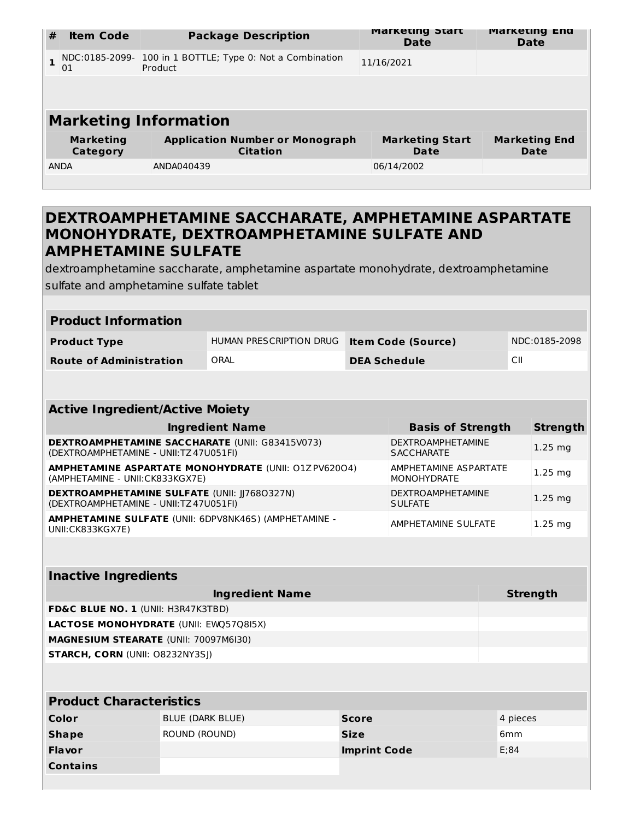| #                            | <b>Item Code</b>             | <b>Package Description</b>                                | <b>Marketing Start</b><br>Date | <b>Marketing End</b><br>Date |  |
|------------------------------|------------------------------|-----------------------------------------------------------|--------------------------------|------------------------------|--|
|                              | NDC:0185-2099-<br>01         | 100 in 1 BOTTLE; Type 0: Not a Combination<br>Product     | 11/16/2021                     |                              |  |
|                              |                              |                                                           |                                |                              |  |
| <b>Marketing Information</b> |                              |                                                           |                                |                              |  |
|                              | <b>Marketing</b><br>Category | <b>Application Number or Monograph</b><br><b>Citation</b> | <b>Marketing Start</b><br>Date | <b>Marketing End</b><br>Date |  |
|                              | <b>ANDA</b>                  | ANDA040439                                                | 06/14/2002                     |                              |  |
|                              |                              |                                                           |                                |                              |  |

### **DEXTROAMPHETAMINE SACCHARATE, AMPHETAMINE ASPARTATE MONOHYDRATE, DEXTROAMPHETAMINE SULFATE AND AMPHETAMINE SULFATE**

| <b>Product Information</b>     |                         |                           |               |  |  |
|--------------------------------|-------------------------|---------------------------|---------------|--|--|
| <b>Product Type</b>            | HUMAN PRESCRIPTION DRUG | <b>Item Code (Source)</b> | NDC:0185-2098 |  |  |
| <b>Route of Administration</b> | ORAL                    | <b>DEA Schedule</b>       | СII           |  |  |

| <b>Active Ingredient/Active Moiety</b>                                                           |                                               |                 |  |  |
|--------------------------------------------------------------------------------------------------|-----------------------------------------------|-----------------|--|--|
| <b>Ingredient Name</b>                                                                           | <b>Basis of Strength</b>                      | <b>Strength</b> |  |  |
| <b>DEXTROAMPHETAMINE SACCHARATE (UNII: G83415V073)</b><br>(DEXTROAMPHETAMINE - UNII:TZ 47U051FI) | <b>DEXTROAMPHETAMINE</b><br><b>SACCHARATE</b> | $1.25$ mg       |  |  |
| <b>AMPHETAMINE ASPARTATE MONOHYDRATE (UNII: 01ZPV62004)</b><br>(AMPHETAMINE - UNII:CK833KGX7E)   | AMPHETAMINE AS PARTATE<br><b>MONOHYDRATE</b>  | $1.25$ mg       |  |  |
| <b>DEXTROAMPHETAMINE SULFATE (UNII: JJ7680327N)</b><br>(DEXTROAMPHETAMINE - UNII:TZ 47U051FI)    | <b>DEXTROAMPHETAMINE</b><br><b>SULFATE</b>    | $1.25$ mg       |  |  |
| <b>AMPHETAMINE SULFATE (UNII: 6DPV8NK46S) (AMPHETAMINE -</b><br>UNII: CK833KGX7E)                | AMPHETAMINE SULFATE                           | $1.25$ mg       |  |  |

| <b>Inactive Ingredients</b>                   |                         |                     |                 |  |  |  |
|-----------------------------------------------|-------------------------|---------------------|-----------------|--|--|--|
|                                               | <b>Ingredient Name</b>  |                     | <b>Strength</b> |  |  |  |
| <b>FD&amp;C BLUE NO. 1 (UNII: H3R47K3TBD)</b> |                         |                     |                 |  |  |  |
| <b>LACTOSE MONOHYDRATE (UNII: EWQ57Q8I5X)</b> |                         |                     |                 |  |  |  |
| <b>MAGNESIUM STEARATE (UNII: 70097M6I30)</b>  |                         |                     |                 |  |  |  |
| <b>STARCH, CORN (UNII: 08232NY3SI)</b>        |                         |                     |                 |  |  |  |
|                                               |                         |                     |                 |  |  |  |
| <b>Product Characteristics</b>                |                         |                     |                 |  |  |  |
| Color                                         | <b>BLUE (DARK BLUE)</b> | <b>Score</b>        | 4 pieces        |  |  |  |
| <b>Shape</b>                                  | ROUND (ROUND)           | <b>Size</b>         | 6 <sub>mm</sub> |  |  |  |
| <b>Flavor</b>                                 |                         | <b>Imprint Code</b> | E;84            |  |  |  |
| <b>Contains</b>                               |                         |                     |                 |  |  |  |
|                                               |                         |                     |                 |  |  |  |